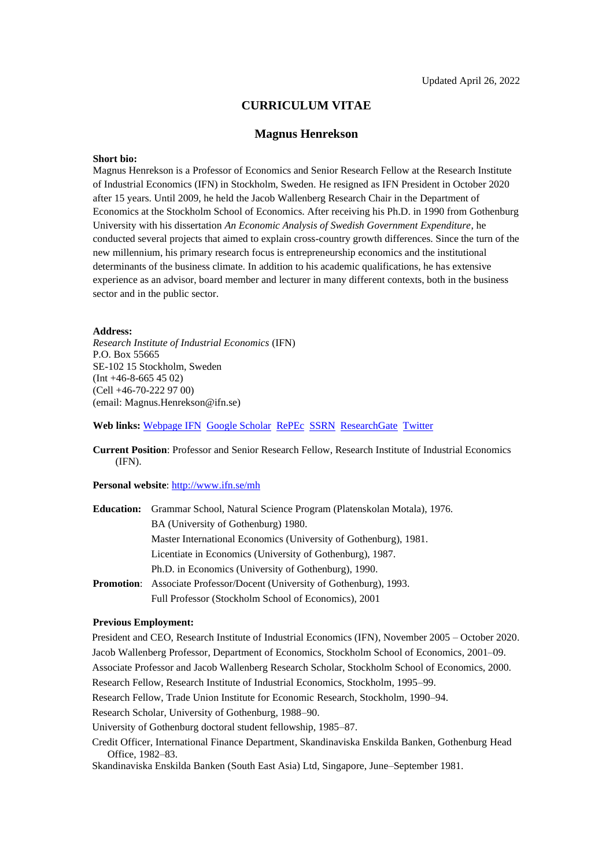## **CURRICULUM VITAE**

## **Magnus Henrekson**

#### **Short bio:**

Magnus Henrekson is a Professor of Economics and Senior Research Fellow at the Research Institute of Industrial Economics (IFN) in Stockholm, Sweden. He resigned as IFN President in October 2020 after 15 years. Until 2009, he held the Jacob Wallenberg Research Chair in the Department of Economics at the Stockholm School of Economics. After receiving his Ph.D. in 1990 from Gothenburg University with his dissertation *An Economic Analysis of Swedish Government Expenditure*, he conducted several projects that aimed to explain cross-country growth differences. Since the turn of the new millennium, his primary research focus is entrepreneurship economics and the institutional determinants of the business climate. In addition to his academic qualifications, he has extensive experience as an advisor, board member and lecturer in many different contexts, both in the business sector and in the public sector.

## **Address:**

*Research Institute of Industrial Economics* (IFN) P.O. Box 55665 SE-102 15 Stockholm, Sweden (Int +46-8-665 45 02) (Cell +46-70-222 97 00) (email: Magnus.Henrekson@ifn.se)

**Web links:** [Webpage IFN](https://www.ifn.se/en/researchers/ifn-researcher/magnus-henrekson/) [Google Scholar](https://scholar.google.com/citations?user=Pa5pNDAAAAAJ&hl=en&oi=sra) [RePEc](https://ideas.repec.org/e/phe60.html) [SSRN](https://papers.ssrn.com/sol3/results.cfm?RequestTimeout=50000000) [ResearchGate](https://www.researchgate.net/profile/Magnus-Henrekson) [Twitter](https://twitter.com/mhenrekson)

**Current Position**: Professor and Senior Research Fellow, Research Institute of Industrial Economics (IFN).

## **Personal website**[: http://www.ifn.se/mh](http://www.ifn.se/mh)

| <b>Education:</b> Grammar School, Natural Science Program (Platenskolan Motala), 1976. |
|----------------------------------------------------------------------------------------|
| BA (University of Gothenburg) 1980.                                                    |
| Master International Economics (University of Gothenburg), 1981.                       |
| Licentiate in Economics (University of Gothenburg), 1987.                              |
| Ph.D. in Economics (University of Gothenburg), 1990.                                   |
| <b>Promotion:</b> Associate Professor/Docent (University of Gothenburg), 1993.         |
| Full Professor (Stockholm School of Economics), 2001                                   |

#### **Previous Employment:**

President and CEO, Research Institute of Industrial Economics (IFN), November 2005 – October 2020. Jacob Wallenberg Professor, Department of Economics, Stockholm School of Economics, 2001–09.

Associate Professor and Jacob Wallenberg Research Scholar, Stockholm School of Economics, 2000.

Research Fellow, Research Institute of Industrial Economics, Stockholm, 1995–99.

Research Fellow, Trade Union Institute for Economic Research, Stockholm, 1990–94.

Research Scholar, University of Gothenburg, 1988–90.

University of Gothenburg doctoral student fellowship, 1985–87.

Credit Officer, International Finance Department, Skandinaviska Enskilda Banken, Gothenburg Head Office, 1982–83.

Skandinaviska Enskilda Banken (South East Asia) Ltd, Singapore, June–September 1981.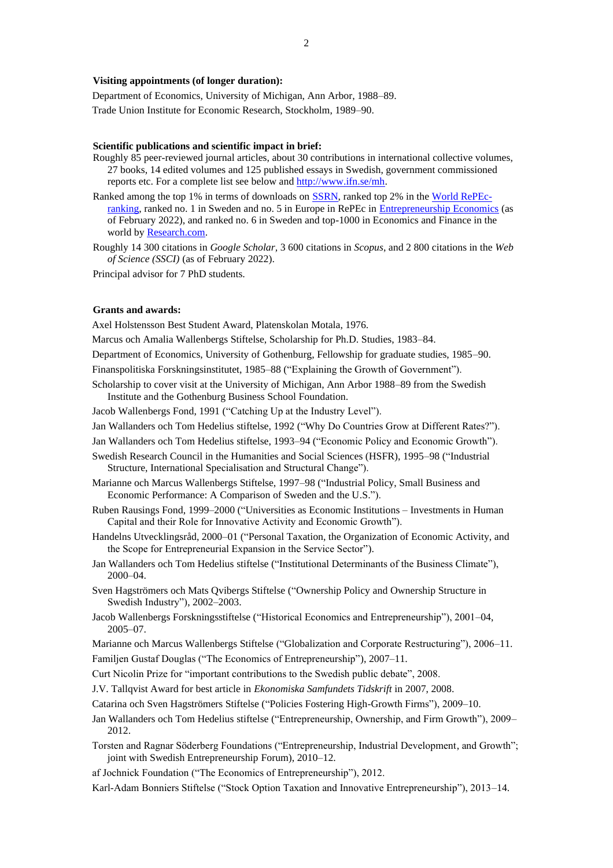### **Visiting appointments (of longer duration):**

Department of Economics, University of Michigan, Ann Arbor, 1988–89. Trade Union Institute for Economic Research, Stockholm, 1989–90.

#### **Scientific publications and scientific impact in brief:**

- Roughly 85 peer-reviewed journal articles, about 30 contributions in international collective volumes, 27 books, 14 edited volumes and 125 published essays in Swedish, government commissioned reports etc. For a complete list see below and [http://www.ifn.se/mh.](http://www.ifn.se/mh)
- Ranked among the top 1% in terms of downloads o[n SSRN,](https://hq.ssrn.com/rankings/Ranking_display.cfm?RequestTimeout=5000&TRN_gID=7&TMY_gID=1&runid=74558) ranked top 2% in th[e World RePEc](https://ideas.repec.org/top/top.person.all.html)[ranking,](https://ideas.repec.org/top/top.person.all.html) ranked no. 1 in Sweden and no. 5 in Europe in RePEc in [Entrepreneurship Economics](https://ideas.repec.org/top/top.ent.html) (as of February 2022), and ranked no. 6 in Sweden and top-1000 in Economics and Finance in the world b[y Research.com.](https://research.com/scientists-rankings/economics-and-finance)
- Roughly 14 300 citations in *Google Scholar,* 3 600 citations in *Scopus*, and 2 800 citations in the *Web of Science (SSCI)* (as of February 2022).

Principal advisor for 7 PhD students.

## **Grants and awards:**

Axel Holstensson Best Student Award, Platenskolan Motala, 1976.

Marcus och Amalia Wallenbergs Stiftelse, Scholarship for Ph.D. Studies, 1983–84.

Department of Economics, University of Gothenburg, Fellowship for graduate studies, 1985–90.

Finanspolitiska Forskningsinstitutet, 1985–88 ("Explaining the Growth of Government").

- Scholarship to cover visit at the University of Michigan, Ann Arbor 1988–89 from the Swedish Institute and the Gothenburg Business School Foundation.
- Jacob Wallenbergs Fond, 1991 ("Catching Up at the Industry Level").
- Jan Wallanders och Tom Hedelius stiftelse, 1992 ("Why Do Countries Grow at Different Rates?").
- Jan Wallanders och Tom Hedelius stiftelse, 1993–94 ("Economic Policy and Economic Growth").
- Swedish Research Council in the Humanities and Social Sciences (HSFR), 1995–98 ("Industrial Structure, International Specialisation and Structural Change").
- Marianne och Marcus Wallenbergs Stiftelse, 1997–98 ("Industrial Policy, Small Business and Economic Performance: A Comparison of Sweden and the U.S.").
- Ruben Rausings Fond, 1999–2000 ("Universities as Economic Institutions Investments in Human Capital and their Role for Innovative Activity and Economic Growth").
- Handelns Utvecklingsråd, 2000–01 ("Personal Taxation, the Organization of Economic Activity, and the Scope for Entrepreneurial Expansion in the Service Sector").
- Jan Wallanders och Tom Hedelius stiftelse ("Institutional Determinants of the Business Climate"), 2000–04.
- Sven Hagströmers och Mats Qvibergs Stiftelse ("Ownership Policy and Ownership Structure in Swedish Industry"), 2002–2003.
- Jacob Wallenbergs Forskningsstiftelse ("Historical Economics and Entrepreneurship"), 2001–04, 2005–07.
- Marianne och Marcus Wallenbergs Stiftelse ("Globalization and Corporate Restructuring"), 2006–11. Familjen Gustaf Douglas ("The Economics of Entrepreneurship"), 2007–11.
- Curt Nicolin Prize for "important contributions to the Swedish public debate", 2008.
- J.V. Tallqvist Award for best article in *Ekonomiska Samfundets Tidskrift* in 2007, 2008.
- Catarina och Sven Hagströmers Stiftelse ("Policies Fostering High-Growth Firms"), 2009–10.
- Jan Wallanders och Tom Hedelius stiftelse ("Entrepreneurship, Ownership, and Firm Growth"), 2009– 2012.
- Torsten and Ragnar Söderberg Foundations ("Entrepreneurship, Industrial Development, and Growth"; joint with Swedish Entrepreneurship Forum), 2010–12.
- af Jochnick Foundation ("The Economics of Entrepreneurship"), 2012.
- Karl-Adam Bonniers Stiftelse ("Stock Option Taxation and Innovative Entrepreneurship"), 2013–14.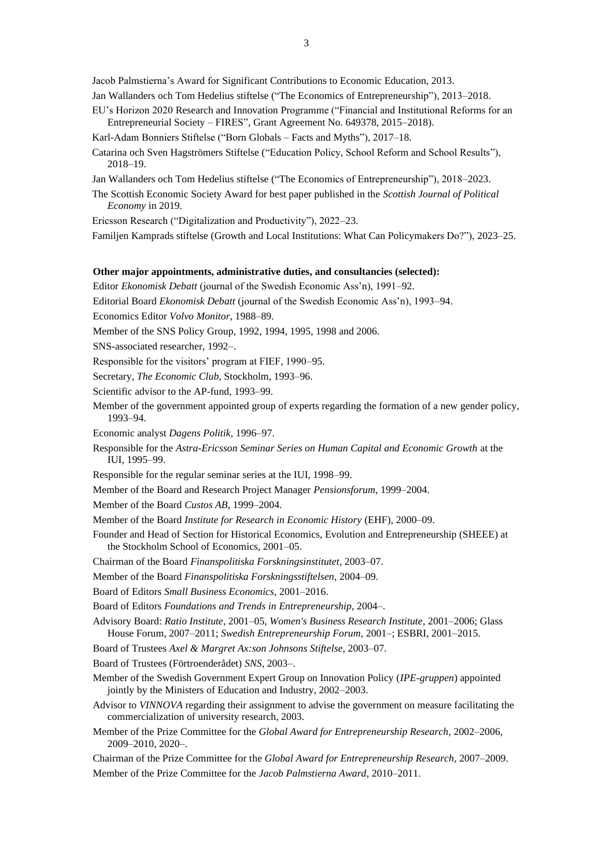Jacob Palmstierna's Award for Significant Contributions to Economic Education, 2013.

- Jan Wallanders och Tom Hedelius stiftelse ("The Economics of Entrepreneurship"), 2013–2018.
- EU's Horizon 2020 Research and Innovation Programme ("Financial and Institutional Reforms for an Entrepreneurial Society – FIRES", Grant Agreement No. 649378, 2015–2018).
- Karl-Adam Bonniers Stiftelse ("Born Globals Facts and Myths"), 2017–18.
- Catarina och Sven Hagströmers Stiftelse ("Education Policy, School Reform and School Results"), 2018–19.
- Jan Wallanders och Tom Hedelius stiftelse ("The Economics of Entrepreneurship"), 2018–2023.
- The Scottish Economic Society Award for best paper published in the *Scottish Journal of Political Economy* in 2019.

Ericsson Research ("Digitalization and Productivity"), 2022–23.

Familjen Kamprads stiftelse (Growth and Local Institutions: What Can Policymakers Do?"), 2023–25.

## **Other major appointments, administrative duties, and consultancies (selected):**

- Editor *Ekonomisk Debatt* (journal of the Swedish Economic Ass'n), 1991–92.
- Editorial Board *Ekonomisk Debatt* (journal of the Swedish Economic Ass'n), 1993–94.
- Economics Editor *Volvo Monitor*, 1988–89.
- Member of the SNS Policy Group, 1992, 1994, 1995, 1998 and 2006.

SNS-associated researcher, 1992–.

Responsible for the visitors' program at FIEF, 1990–95.

Secretary, *The Economic Club*, Stockholm, 1993–96.

- Scientific advisor to the AP-fund, 1993–99.
- Member of the government appointed group of experts regarding the formation of a new gender policy, 1993–94.
- Economic analyst *Dagens Politik*, 1996–97.
- Responsible for the *Astra-Ericsson Seminar Series on Human Capital and Economic Growth* at the IUI, 1995–99.
- Responsible for the regular seminar series at the IUI, 1998–99.
- Member of the Board and Research Project Manager *Pensionsforum*, 1999–2004.
- Member of the Board *Custos AB*, 1999–2004.

Member of the Board *Institute for Research in Economic History* (EHF)*,* 2000–09.

Founder and Head of Section for Historical Economics, Evolution and Entrepreneurship (SHEEE) at the Stockholm School of Economics, 2001–05.

Chairman of the Board *Finanspolitiska Forskningsinstitutet*, 2003–07.

- Member of the Board *Finanspolitiska Forskningsstiftelsen*, 2004–09.
- Board of Editors *Small Business Economics*, 2001–2016.

Board of Editors *Foundations and Trends in Entrepreneurship*, 2004–.

Advisory Board: *Ratio Institute*, 2001–05, *Women's Business Research Institute*, 2001–2006; Glass House Forum, 2007–2011; *Swedish Entrepreneurship Forum*, 2001–; ESBRI, 2001–2015.

Board of Trustees *Axel & Margret Ax:son Johnsons Stiftelse*, 2003–07.

Board of Trustees (Förtroenderådet) *SNS*, 2003–.

- Member of the Swedish Government Expert Group on Innovation Policy (*IPE-gruppen*) appointed jointly by the Ministers of Education and Industry, 2002–2003.
- Advisor to *VINNOVA* regarding their assignment to advise the government on measure facilitating the commercialization of university research, 2003.
- Member of the Prize Committee for the *Global Award for Entrepreneurship Research*, 2002–2006, 2009–2010, 2020–.

Chairman of the Prize Committee for the *Global Award for Entrepreneurship Research*, 2007–2009. Member of the Prize Committee for the *Jacob Palmstierna Award*, 2010–2011.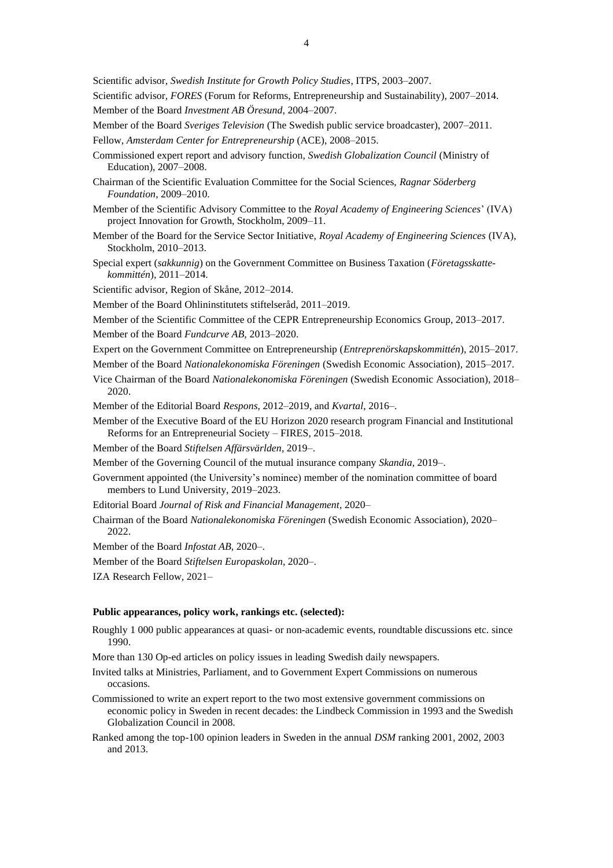- Scientific advisor, *FORES* (Forum for Reforms, Entrepreneurship and Sustainability), 2007–2014. Member of the Board *Investment AB Öresund*, 2004–2007.
- Member of the Board *Sveriges Television* (The Swedish public service broadcaster), 2007–2011. Fellow, *Amsterdam Center for Entrepreneurship* (ACE), 2008–2015.
- Commissioned expert report and advisory function, *Swedish Globalization Council* (Ministry of Education), 2007–2008.
- Chairman of the Scientific Evaluation Committee for the Social Sciences, *Ragnar Söderberg Foundation*, 2009–2010.
- Member of the Scientific Advisory Committee to the *Royal Academy of Engineering Sciences*' (IVA) project Innovation for Growth, Stockholm, 2009–11.
- Member of the Board for the Service Sector Initiative, *Royal Academy of Engineering Sciences* (IVA), Stockholm, 2010–2013.
- Special expert (*sakkunnig*) on the Government Committee on Business Taxation (*Företagsskattekommittén*), 2011–2014.
- Scientific advisor, Region of Skåne, 2012–2014.
- Member of the Board Ohlininstitutets stiftelseråd, 2011–2019.
- Member of the Scientific Committee of the CEPR Entrepreneurship Economics Group, 2013–2017.
- Member of the Board *Fundcurve AB,* 2013–2020.
- Expert on the Government Committee on Entrepreneurship (*Entreprenörskapskommittén*), 2015–2017.
- Member of the Board *Nationalekonomiska Föreningen* (Swedish Economic Association)*,* 2015–2017.
- Vice Chairman of the Board *Nationalekonomiska Föreningen* (Swedish Economic Association)*,* 2018– 2020.
- Member of the Editorial Board *Respons*, 2012–2019, and *Kvartal*, 2016–.
- Member of the Executive Board of the EU Horizon 2020 research program Financial and Institutional Reforms for an Entrepreneurial Society – FIRES, 2015–2018.
- Member of the Board *Stiftelsen Affärsvärlden*, 2019–.
- Member of the Governing Council of the mutual insurance company *Skandia,* 2019–.
- Government appointed (the University's nominee) member of the nomination committee of board members to Lund University, 2019–2023.
- Editorial Board *Journal of Risk and Financial Management,* 2020–
- Chairman of the Board *Nationalekonomiska Föreningen* (Swedish Economic Association)*,* 2020– 2022.
- Member of the Board *Infostat AB,* 2020–.
- Member of the Board *Stiftelsen Europaskolan*, 2020–.
- IZA Research Fellow, 2021–

#### **Public appearances, policy work, rankings etc. (selected):**

- Roughly 1 000 public appearances at quasi- or non-academic events, roundtable discussions etc. since 1990.
- More than 130 Op-ed articles on policy issues in leading Swedish daily newspapers.
- Invited talks at Ministries, Parliament, and to Government Expert Commissions on numerous occasions.
- Commissioned to write an expert report to the two most extensive government commissions on economic policy in Sweden in recent decades: the Lindbeck Commission in 1993 and the Swedish Globalization Council in 2008.
- Ranked among the top-100 opinion leaders in Sweden in the annual *DSM* ranking 2001, 2002, 2003 and 2013.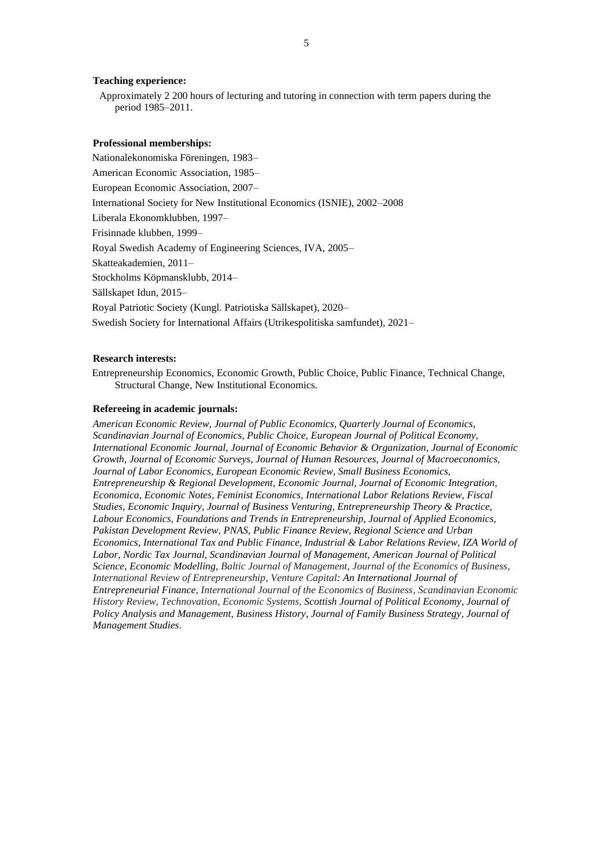#### **Teaching experience:**

Approximately 2 200 hours of lecturing and tutoring in connection with term papers during the period 1985–2011.

#### **Professional memberships:**

Nationalekonomiska Föreningen, 1983– American Economic Association, 1985– European Economic Association, 2007– International Society for New Institutional Economics (ISNIE), 2002–2008 Liberala Ekonomklubben, 1997– Frisinnade klubben, 1999– Royal Swedish Academy of Engineering Sciences, IVA, 2005– Skatteakademien, 2011– Stockholms Köpmansklubb, 2014– Sällskapet Idun, 2015– Royal Patriotic Society (Kungl. Patriotiska Sällskapet), 2020– Swedish Society for International Affairs (Utrikespolitiska samfundet), 2021–

#### **Research interests:**

Entrepreneurship Economics, Economic Growth, Public Choice, Public Finance, Technical Change, Structural Change, New Institutional Economics.

#### **Refereeing in academic journals:**

*American Economic Review, Journal of Public Economics, Quarterly Journal of Economics, Scandinavian Journal of Economics, Public Choice, European Journal of Political Economy, International Economic Journal, Journal of Economic Behavior & Organization, Journal of Economic Growth, Journal of Economic Surveys, Journal of Human Resources, Journal of Macroeconomics, Journal of Labor Economics, European Economic Review, Small Business Economics, Entrepreneurship & Regional Development, Economic Journal, Journal of Economic Integration, Economica, Economic Notes, Feminist Economics, International Labor Relations Review, Fiscal Studies, Economic Inquiry, Journal of Business Venturing, Entrepreneurship Theory & Practice, Labour Economics, Foundations and Trends in Entrepreneurship, Journal of Applied Economics, Pakistan Development Review, PNAS, Public Finance Review, Regional Science and Urban Economics, International Tax and Public Finance, Industrial & Labor Relations Review, IZA World of Labor, Nordic Tax Journal, Scandinavian Journal of Management, American Journal of Political Science*, *Economic Modelling, Baltic Journal of Management, Journal of the Economics of Business, International Review of Entrepreneurship*, *Venture Capital: An International Journal of Entrepreneurial Finance, International Journal of the Economics of Business, Scandinavian Economic History Review, Technovation, Economic Systems, Scottish Journal of Political Economy, Journal of Policy Analysis and Management, Business History, Journal of Family Business Strategy, Journal of Management Studies*.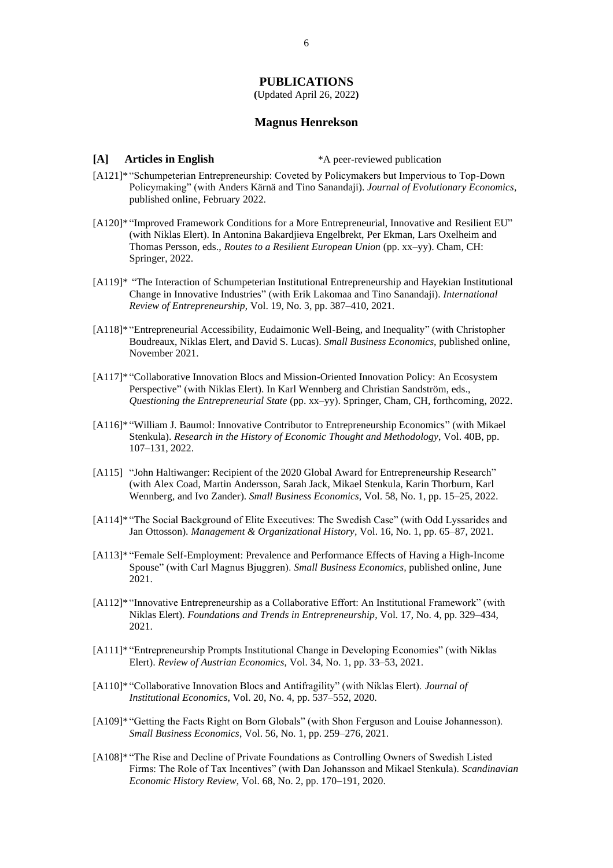## **PUBLICATIONS**

**(**Updated April 26, 2022**)**

# **Magnus Henrekson**

**[A] Articles in English** \*A peer-reviewed publication

- [A121]\* "Schumpeterian Entrepreneurship: Coveted by Policymakers but Impervious to Top-Down Policymaking" (with Anders Kärnä and Tino Sanandaji). *Journal of Evolutionary Economics*, published online, February 2022.
- [A120]\* "Improved Framework Conditions for a More Entrepreneurial, Innovative and Resilient EU" (with Niklas Elert). In Antonina Bakardjieva Engelbrekt, Per Ekman, Lars Oxelheim and Thomas Persson, eds., *Routes to a Resilient European Union* (pp. xx–yy). Cham, CH: Springer, 2022.
- [A119]\* "The Interaction of Schumpeterian Institutional Entrepreneurship and Hayekian Institutional Change in Innovative Industries" (with Erik Lakomaa and Tino Sanandaji). *International Review of Entrepreneurship*, Vol. 19, No. 3, pp. 387–410, 2021.
- [A118]\* "Entrepreneurial Accessibility, Eudaimonic Well-Being, and Inequality" (with Christopher Boudreaux, Niklas Elert, and David S. Lucas). *Small Business Economics,* published online, November 2021.
- [A117]\* "Collaborative Innovation Blocs and Mission-Oriented Innovation Policy: An Ecosystem Perspective" (with Niklas Elert). In Karl Wennberg and Christian Sandström, eds., *Questioning the Entrepreneurial State* (pp. xx–yy). Springer, Cham, CH, forthcoming, 2022.
- [A116]\* "William J. Baumol: Innovative Contributor to Entrepreneurship Economics" (with Mikael Stenkula). *Research in the History of Economic Thought and Methodology*, Vol. 40B, pp. 107–131, 2022.
- [A115] "John Haltiwanger: Recipient of the 2020 Global Award for Entrepreneurship Research" (with Alex Coad, Martin Andersson, Sarah Jack, Mikael Stenkula, Karin Thorburn, Karl Wennberg, and Ivo Zander). *Small Business Economics,* Vol. 58, No. 1, pp. 15–25, 2022.
- [A114]\* "The Social Background of Elite Executives: The Swedish Case" (with Odd Lyssarides and Jan Ottosson). *Management & Organizational History,* Vol. 16, No. 1, pp. 65–87, 2021.
- [A113]\* "Female Self-Employment: Prevalence and Performance Effects of Having a High-Income Spouse" (with Carl Magnus Bjuggren). *Small Business Economics,* published online, June 2021.
- [A112]\* "Innovative Entrepreneurship as a Collaborative Effort: An Institutional Framework" (with Niklas Elert). *Foundations and Trends in Entrepreneurship*, Vol. 17, No. 4, pp. 329–434, 2021.
- [A111]\* "Entrepreneurship Prompts Institutional Change in Developing Economies" (with Niklas Elert). *Review of Austrian Economics*, Vol. 34, No. 1, pp. 33–53, 2021.
- [A110]\* "Collaborative Innovation Blocs and Antifragility" (with Niklas Elert). *Journal of Institutional Economics*, Vol. 20, No. 4, pp. 537–552, 2020.
- [A109]\* "Getting the Facts Right on Born Globals" (with Shon Ferguson and Louise Johannesson). *Small Business Economics*, Vol. 56, No. 1, pp. 259–276, 2021.
- [A108]\* "The Rise and Decline of Private Foundations as Controlling Owners of Swedish Listed Firms: The Role of Tax Incentives" (with Dan Johansson and Mikael Stenkula). *Scandinavian Economic History Review*, Vol. 68, No. 2, pp. 170–191, 2020.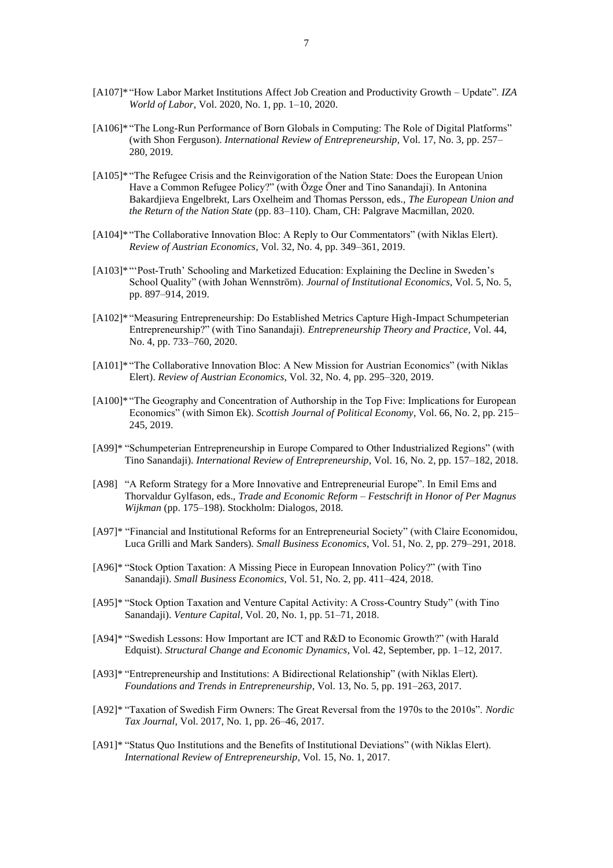- [A107]\* "How Labor Market Institutions Affect Job Creation and Productivity Growth Update". *IZA World of Labor*, Vol. 2020, No. 1, pp. 1–10, 2020.
- [A106]\* "The Long-Run Performance of Born Globals in Computing: The Role of Digital Platforms" (with Shon Ferguson). *International Review of Entrepreneurship*, Vol. 17, No. 3, pp. 257– 280, 2019.
- [A105]\* "The Refugee Crisis and the Reinvigoration of the Nation State: Does the European Union Have a Common Refugee Policy?" (with Özge Öner and Tino Sanandaji). In Antonina Bakardjieva Engelbrekt, Lars Oxelheim and Thomas Persson, eds., *The European Union and the Return of the Nation State* (pp. 83–110). Cham, CH: Palgrave Macmillan, 2020.
- [A104]\* "The Collaborative Innovation Bloc: A Reply to Our Commentators" (with Niklas Elert). *Review of Austrian Economics*, Vol. 32, No. 4, pp. 349–361, 2019.
- [A103]\* "'Post-Truth' Schooling and Marketized Education: Explaining the Decline in Sweden's School Quality" (with Johan Wennström). *Journal of Institutional Economics*, Vol. 5, No. 5, pp. 897–914, 2019.
- [A102]\* "Measuring Entrepreneurship: Do Established Metrics Capture High-Impact Schumpeterian Entrepreneurship?" (with Tino Sanandaji). *Entrepreneurship Theory and Practice*, Vol. 44, No. 4, pp. 733–760, 2020.
- [A101]\* "The Collaborative Innovation Bloc: A New Mission for Austrian Economics" (with Niklas Elert). *Review of Austrian Economics*, Vol. 32, No. 4, pp. 295–320, 2019.
- [A100]\* "The Geography and Concentration of Authorship in the Top Five: Implications for European Economics" (with Simon Ek). *Scottish Journal of Political Economy*, Vol. 66, No. 2, pp. 215– 245, 2019.
- [A99]\* "Schumpeterian Entrepreneurship in Europe Compared to Other Industrialized Regions" (with Tino Sanandaji). *International Review of Entrepreneurship*, Vol. 16, No. 2, pp. 157–182, 2018.
- [A98] "A Reform Strategy for a More Innovative and Entrepreneurial Europe". In Emil Ems and Thorvaldur Gylfason, eds., *Trade and Economic Reform – Festschrift in Honor of Per Magnus Wijkman* (pp. 175–198). Stockholm: Dialogos, 2018.
- [A97]\* "Financial and Institutional Reforms for an Entrepreneurial Society" (with Claire Economidou, Luca Grilli and Mark Sanders). *Small Business Economics*, Vol. 51, No. 2, pp. 279–291, 2018.
- [A96]\* "Stock Option Taxation: A Missing Piece in European Innovation Policy?" (with Tino Sanandaji). *Small Business Economics*, Vol. 51, No. 2, pp. 411–424, 2018.
- [A95]\* "Stock Option Taxation and Venture Capital Activity: A Cross-Country Study" (with Tino Sanandaji). *Venture Capital*, Vol. 20, No. 1, pp. 51–71, 2018.
- [A94]\* "Swedish Lessons: How Important are ICT and R&D to Economic Growth?" (with Harald Edquist). *Structural Change and Economic Dynamics*, Vol. 42, September, pp. 1–12, 2017.
- [A93]\* "Entrepreneurship and Institutions: A Bidirectional Relationship" (with Niklas Elert). *Foundations and Trends in Entrepreneurship*, Vol. 13, No. 5, pp. 191–263, 2017.
- [A92]\* "Taxation of Swedish Firm Owners: The Great Reversal from the 1970s to the 2010s". *Nordic Tax Journal*, Vol. 2017, No. 1, pp. 26–46, 2017.
- [A91]\* "Status Quo Institutions and the Benefits of Institutional Deviations" (with Niklas Elert). *International Review of Entrepreneurship*, Vol. 15, No. 1, 2017.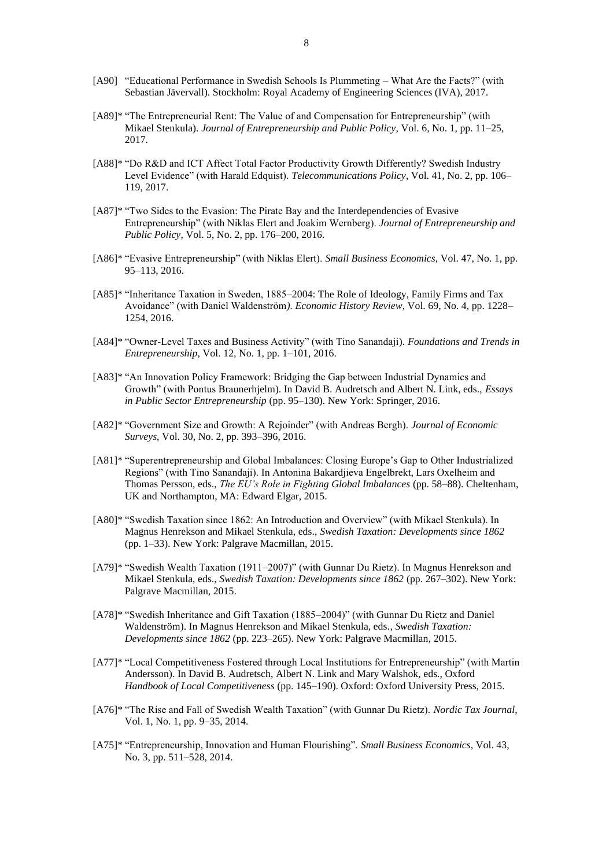- [A90] "Educational Performance in Swedish Schools Is Plummeting What Are the Facts?" (with Sebastian Jävervall). Stockholm: Royal Academy of Engineering Sciences (IVA), 2017.
- [A89]\* "The Entrepreneurial Rent: The Value of and Compensation for Entrepreneurship" (with Mikael Stenkula). *Journal of Entrepreneurship and Public Policy*, Vol. 6, No. 1, pp. 11–25, 2017.
- [A88]\* "Do R&D and ICT Affect Total Factor Productivity Growth Differently? Swedish Industry Level Evidence" (with Harald Edquist). *Telecommunications Policy*, Vol. 41, No. 2, pp. 106– 119, 2017.
- [A87]\* "Two Sides to the Evasion: The Pirate Bay and the Interdependencies of Evasive Entrepreneurship" (with Niklas Elert and Joakim Wernberg). *Journal of Entrepreneurship and Public Policy*, Vol. 5, No. 2, pp. 176–200, 2016.
- [A86]\* "Evasive Entrepreneurship" (with Niklas Elert). *Small Business Economics*, Vol. 47, No. 1, pp. 95–113, 2016.
- [A85]\* "Inheritance Taxation in Sweden, 1885–2004: The Role of Ideology, Family Firms and Tax Avoidance" (with Daniel Waldenström*). Economic History Review*, Vol. 69, No. 4, pp. 1228– 1254, 2016.
- [A84]\* "Owner-Level Taxes and Business Activity" (with Tino Sanandaji). *Foundations and Trends in Entrepreneurship*, Vol. 12, No. 1, pp. 1–101, 2016.
- [A83]\* "An Innovation Policy Framework: Bridging the Gap between Industrial Dynamics and Growth" (with Pontus Braunerhjelm). In David B. Audretsch and Albert N. Link, eds., *Essays in Public Sector Entrepreneurship* (pp. 95–130). New York: Springer, 2016.
- [A82]\* "Government Size and Growth: A Rejoinder" (with Andreas Bergh). *Journal of Economic Surveys*, Vol. 30, No. 2, pp. 393–396, 2016.
- [A81]\* "Superentrepreneurship and Global Imbalances: Closing Europe's Gap to Other Industrialized Regions" (with Tino Sanandaji). In Antonina Bakardjieva Engelbrekt, Lars Oxelheim and Thomas Persson, eds., *The EU's Role in Fighting Global Imbalances* (pp. 58–88). Cheltenham, UK and Northampton, MA: Edward Elgar, 2015.
- [A80]\* "Swedish Taxation since 1862: An Introduction and Overview" (with Mikael Stenkula). In Magnus Henrekson and Mikael Stenkula, eds., *Swedish Taxation: Developments since 1862* (pp. 1–33). New York: Palgrave Macmillan, 2015.
- [A79]\* "Swedish Wealth Taxation (1911–2007)" (with Gunnar Du Rietz). In Magnus Henrekson and Mikael Stenkula, eds., *Swedish Taxation: Developments since 1862* (pp. 267–302). New York: Palgrave Macmillan, 2015.
- [A78]\* "Swedish Inheritance and Gift Taxation (1885–2004)" (with Gunnar Du Rietz and Daniel Waldenström). In Magnus Henrekson and Mikael Stenkula, eds*., Swedish Taxation: Developments since 1862* (pp. 223–265). New York: Palgrave Macmillan, 2015.
- [A77]\* "Local Competitiveness Fostered through Local Institutions for Entrepreneurship" (with Martin Andersson). In David B. Audretsch, Albert N. Link and Mary Walshok, eds., Oxford *Handbook of Local Competitiveness* (pp. 145–190). Oxford: Oxford University Press, 2015.
- [A76]\* "The Rise and Fall of Swedish Wealth Taxation" (with Gunnar Du Rietz). *Nordic Tax Journal*, Vol. 1, No. 1, pp. 9–35, 2014.
- [A75]\* "Entrepreneurship, Innovation and Human Flourishing". *Small Business Economics*, Vol. 43, No. 3, pp. 511–528, 2014.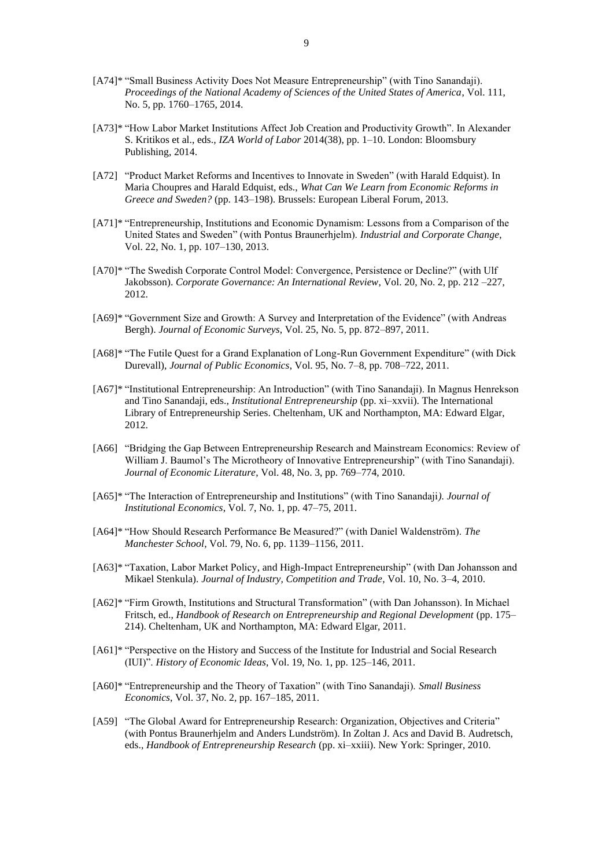- [A74]\* "Small Business Activity Does Not Measure Entrepreneurship" (with Tino Sanandaji). *Proceedings of the National Academy of Sciences of the United States of America*, Vol. 111, No. 5, pp. 1760–1765, 2014.
- [A73]\* "How Labor Market Institutions Affect Job Creation and Productivity Growth". In Alexander S. Kritikos et al., eds., *IZA World of Labor* 2014(38), pp. 1–10. London: Bloomsbury Publishing, 2014.
- [A72] "Product Market Reforms and Incentives to Innovate in Sweden" (with Harald Edquist). In Maria Choupres and Harald Edquist, eds., *What Can We Learn from Economic Reforms in Greece and Sweden?* (pp. 143–198). Brussels: European Liberal Forum, 2013.
- [A71]\* "Entrepreneurship, Institutions and Economic Dynamism: Lessons from a Comparison of the United States and Sweden" (with Pontus Braunerhjelm). *Industrial and Corporate Change*, Vol. 22, No. 1, pp. 107–130, 2013.
- [A70]\* "The Swedish Corporate Control Model: Convergence, Persistence or Decline?" (with Ulf Jakobsson). *Corporate Governance: An International Review*, Vol. 20, No. 2, pp. 212 –227, 2012.
- [A69]\* "Government Size and Growth: A Survey and Interpretation of the Evidence" (with Andreas Bergh). *Journal of Economic Surveys*, Vol. 25, No. 5, pp. 872–897, 2011.
- [A68]\* "The Futile Quest for a Grand Explanation of Long-Run Government Expenditure" (with Dick Durevall), *Journal of Public Economics*, Vol. 95, No. 7–8, pp. 708–722, 2011.
- [A67]\* "Institutional Entrepreneurship: An Introduction" (with Tino Sanandaji). In Magnus Henrekson and Tino Sanandaji, eds., *Institutional Entrepreneurship* (pp. xi–xxvii). The International Library of Entrepreneurship Series. Cheltenham, UK and Northampton, MA: Edward Elgar, 2012.
- [A66] "Bridging the Gap Between Entrepreneurship Research and Mainstream Economics: Review of William J. Baumol's The Microtheory of Innovative Entrepreneurship" (with Tino Sanandaji). *Journal of Economic Literature*, Vol. 48, No. 3, pp. 769–774, 2010.
- [A65]\* "The Interaction of Entrepreneurship and Institutions" (with Tino Sanandaji*). Journal of Institutional Economics*, Vol. 7, No. 1, pp. 47–75, 2011.
- [A64]\* "How Should Research Performance Be Measured?" (with Daniel Waldenström). *The Manchester School*, Vol. 79, No. 6, pp. 1139–1156, 2011.
- [A63]\* "Taxation, Labor Market Policy, and High-Impact Entrepreneurship" (with Dan Johansson and Mikael Stenkula). *Journal of Industry, Competition and Trade*, Vol. 10, No. 3–4, 2010.
- [A62]\* "Firm Growth, Institutions and Structural Transformation" (with Dan Johansson). In Michael Fritsch, ed., *Handbook of Research on Entrepreneurship and Regional Development* (pp. 175– 214). Cheltenham, UK and Northampton, MA: Edward Elgar, 2011.
- [A61]\* "Perspective on the History and Success of the Institute for Industrial and Social Research (IUI)". *History of Economic Ideas*, Vol. 19, No. 1, pp. 125–146, 2011.
- [A60]\* "Entrepreneurship and the Theory of Taxation" (with Tino Sanandaji). *Small Business Economics*, Vol. 37, No. 2, pp. 167–185, 2011.
- [A59] "The Global Award for Entrepreneurship Research: Organization, Objectives and Criteria" (with Pontus Braunerhjelm and Anders Lundström). In Zoltan J. Acs and David B. Audretsch, eds., *Handbook of Entrepreneurship Research* (pp. xi–xxiii). New York: Springer, 2010.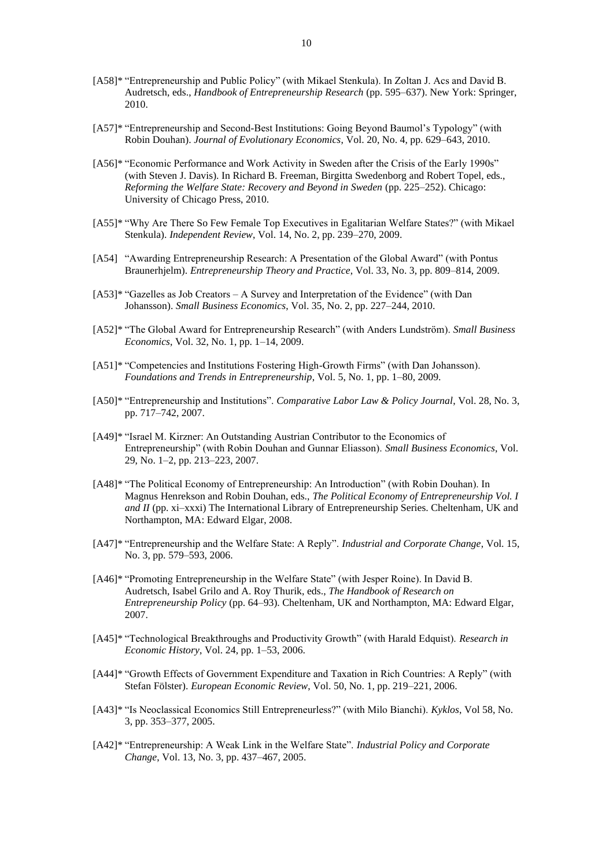- [A58]\* "Entrepreneurship and Public Policy" (with Mikael Stenkula). In Zoltan J. Acs and David B. Audretsch, eds., *Handbook of Entrepreneurship Research* (pp. 595–637). New York: Springer, 2010.
- [A57]\* "Entrepreneurship and Second-Best Institutions: Going Beyond Baumol's Typology" (with Robin Douhan). *Journal of Evolutionary Economics*, Vol. 20, No. 4, pp. 629–643, 2010.
- [A56]\* "Economic Performance and Work Activity in Sweden after the Crisis of the Early 1990s" (with Steven J. Davis). In Richard B. Freeman, Birgitta Swedenborg and Robert Topel, eds., *Reforming the Welfare State: Recovery and Beyond in Sweden* (pp. 225–252). Chicago: University of Chicago Press, 2010.
- [A55]\* "Why Are There So Few Female Top Executives in Egalitarian Welfare States?" (with Mikael Stenkula). *Independent Review*, Vol. 14, No. 2, pp. 239–270, 2009.
- [A54] "Awarding Entrepreneurship Research: A Presentation of the Global Award" (with Pontus Braunerhjelm). *Entrepreneurship Theory and Practice*, Vol. 33, No. 3, pp. 809–814, 2009.
- [A53]\* "Gazelles as Job Creators A Survey and Interpretation of the Evidence" (with Dan Johansson). *Small Business Economics*, Vol. 35, No. 2, pp. 227–244, 2010.
- [A52]\* "The Global Award for Entrepreneurship Research" (with Anders Lundström). *Small Business Economics*, Vol. 32, No. 1, pp. 1–14, 2009.
- [A51]\* "Competencies and Institutions Fostering High-Growth Firms" (with Dan Johansson). *Foundations and Trends in Entrepreneurship*, Vol. 5, No. 1, pp. 1–80, 2009.
- [A50]\* "Entrepreneurship and Institutions". *Comparative Labor Law & Policy Journal*, Vol. 28, No. 3, pp. 717–742, 2007.
- [A49]\* "Israel M. Kirzner: An Outstanding Austrian Contributor to the Economics of Entrepreneurship" (with Robin Douhan and Gunnar Eliasson). *Small Business Economics*, Vol. 29, No. 1–2, pp. 213–223, 2007.
- [A48]\* "The Political Economy of Entrepreneurship: An Introduction" (with Robin Douhan). In Magnus Henrekson and Robin Douhan, eds., *The Political Economy of Entrepreneurship Vol. I and II* (pp. xi–xxxi) The International Library of Entrepreneurship Series. Cheltenham, UK and Northampton, MA: Edward Elgar, 2008.
- [A47]\* "Entrepreneurship and the Welfare State: A Reply". *Industrial and Corporate Change*, Vol. 15, No. 3, pp. 579–593, 2006.
- [A46]\* "Promoting Entrepreneurship in the Welfare State" (with Jesper Roine). In David B. Audretsch, Isabel Grilo and A. Roy Thurik, eds., *The Handbook of Research on Entrepreneurship Policy* (pp. 64–93). Cheltenham, UK and Northampton, MA: Edward Elgar, 2007.
- [A45]\* "Technological Breakthroughs and Productivity Growth" (with Harald Edquist). *Research in Economic History*, Vol. 24, pp. 1–53, 2006.
- [A44]\* "Growth Effects of Government Expenditure and Taxation in Rich Countries: A Reply" (with Stefan Fölster). *European Economic Review*, Vol. 50, No. 1, pp. 219–221, 2006.
- [A43]\* "Is Neoclassical Economics Still Entrepreneurless?" (with Milo Bianchi). *Kyklos*, Vol 58, No. 3, pp. 353–377, 2005.
- [A42]\* "Entrepreneurship: A Weak Link in the Welfare State". *Industrial Policy and Corporate Change*, Vol. 13, No. 3, pp. 437–467, 2005.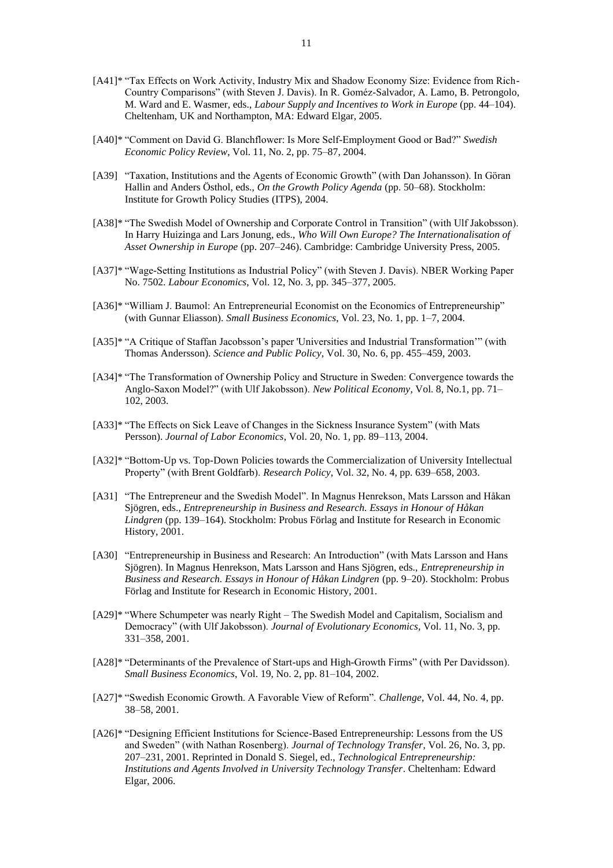- [A41]\* "Tax Effects on Work Activity, Industry Mix and Shadow Economy Size: Evidence from Rich-Country Comparisons" (with Steven J. Davis). In R. Goméz-Salvador, A. Lamo, B. Petrongolo, M. Ward and E. Wasmer, eds., *Labour Supply and Incentives to Work in Europe* (pp. 44–104). Cheltenham, UK and Northampton, MA: Edward Elgar, 2005.
- [A40]\* "Comment on David G. Blanchflower: Is More Self-Employment Good or Bad?" *Swedish Economic Policy Review*, Vol. 11, No. 2, pp. 75–87, 2004.
- [A39] "Taxation, Institutions and the Agents of Economic Growth" (with Dan Johansson). In Göran Hallin and Anders Östhol, eds., *On the Growth Policy Agenda* (pp. 50–68). Stockholm: Institute for Growth Policy Studies (ITPS), 2004.
- [A38]\* "The Swedish Model of Ownership and Corporate Control in Transition" (with Ulf Jakobsson). In Harry Huizinga and Lars Jonung, eds., *Who Will Own Europe? The Internationalisation of Asset Ownership in Europe* (pp. 207–246). Cambridge: Cambridge University Press, 2005.
- [A37]\* "Wage-Setting Institutions as Industrial Policy" (with Steven J. Davis). NBER Working Paper No. 7502. *Labour Economics*, Vol. 12, No. 3, pp. 345–377, 2005.
- [A36]\* "William J. Baumol: An Entrepreneurial Economist on the Economics of Entrepreneurship" (with Gunnar Eliasson). *Small Business Economics*, Vol. 23, No. 1, pp. 1–7, 2004.
- [A35]\* "A Critique of Staffan Jacobsson's paper 'Universities and Industrial Transformation'" (with Thomas Andersson). *Science and Public Policy*, Vol. 30, No. 6, pp. 455–459, 2003.
- [A34]\* "The Transformation of Ownership Policy and Structure in Sweden: Convergence towards the Anglo-Saxon Model?" (with Ulf Jakobsson). *New Political Economy*, Vol. 8, No.1, pp. 71– 102, 2003.
- [A33]\* "The Effects on Sick Leave of Changes in the Sickness Insurance System" (with Mats Persson). *Journal of Labor Economics*, Vol. 20, No. 1, pp. 89–113, 2004.
- [A32]\* "Bottom-Up vs. Top-Down Policies towards the Commercialization of University Intellectual Property" (with Brent Goldfarb). *Research Policy*, Vol. 32, No. 4, pp. 639–658, 2003.
- [A31] "The Entrepreneur and the Swedish Model". In Magnus Henrekson, Mats Larsson and Håkan Sjögren, eds., *Entrepreneurship in Business and Research. Essays in Honour of Håkan Lindgren* (pp. 139–164). Stockholm: Probus Förlag and Institute for Research in Economic History, 2001.
- [A30] "Entrepreneurship in Business and Research: An Introduction" (with Mats Larsson and Hans Sjögren). In Magnus Henrekson, Mats Larsson and Hans Sjögren, eds., *Entrepreneurship in Business and Research. Essays in Honour of Håkan Lindgren* (pp. 9–20). Stockholm: Probus Förlag and Institute for Research in Economic History, 2001.
- [A29]\* "Where Schumpeter was nearly Right The Swedish Model and Capitalism, Socialism and Democracy" (with Ulf Jakobsson). *Journal of Evolutionary Economics*, Vol. 11, No. 3, pp. 331–358, 2001.
- [A28]\* "Determinants of the Prevalence of Start-ups and High-Growth Firms" (with Per Davidsson). *Small Business Economics*, Vol. 19, No. 2, pp. 81–104, 2002.
- [A27]\* "Swedish Economic Growth. A Favorable View of Reform". *Challenge*, Vol. 44, No. 4, pp. 38–58, 2001.
- [A26]\* "Designing Efficient Institutions for Science-Based Entrepreneurship: Lessons from the US and Sweden" (with Nathan Rosenberg). *Journal of Technology Transfer*, Vol. 26, No. 3, pp. 207–231, 2001. Reprinted in Donald S. Siegel, ed., *Technological Entrepreneurship: Institutions and Agents Involved in University Technology Transfer*. Cheltenham: Edward Elgar, 2006.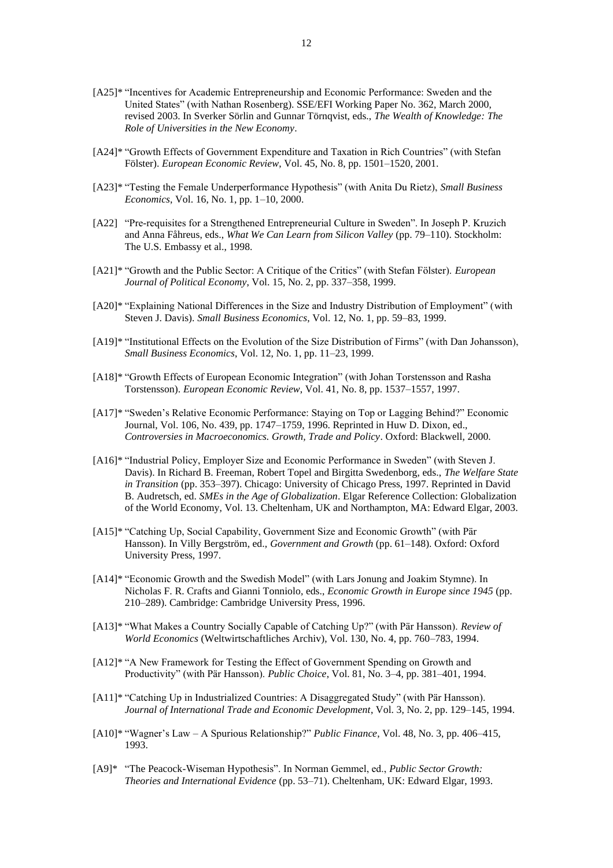- [A25]\* "Incentives for Academic Entrepreneurship and Economic Performance: Sweden and the United States" (with Nathan Rosenberg). SSE/EFI Working Paper No. 362, March 2000, revised 2003. In Sverker Sörlin and Gunnar Törnqvist, eds., *The Wealth of Knowledge: The Role of Universities in the New Economy*.
- [A24]\* "Growth Effects of Government Expenditure and Taxation in Rich Countries" (with Stefan Fölster). *European Economic Review*, Vol. 45, No. 8, pp. 1501–1520, 2001.
- [A23]\* "Testing the Female Underperformance Hypothesis" (with Anita Du Rietz), *Small Business Economics*, Vol. 16, No. 1, pp. 1–10, 2000.
- [A22] "Pre-requisites for a Strengthened Entrepreneurial Culture in Sweden". In Joseph P. Kruzich and Anna Fåhreus, eds., *What We Can Learn from Silicon Valley* (pp. 79–110). Stockholm: The U.S. Embassy et al., 1998.
- [A21]\* "Growth and the Public Sector: A Critique of the Critics" (with Stefan Fölster). *European Journal of Political Economy*, Vol. 15, No. 2, pp. 337–358, 1999.
- [A20]\* "Explaining National Differences in the Size and Industry Distribution of Employment" (with Steven J. Davis). *Small Business Economics*, Vol. 12, No. 1, pp. 59–83, 1999.
- [A19]\* "Institutional Effects on the Evolution of the Size Distribution of Firms" (with Dan Johansson), *Small Business Economics*, Vol. 12, No. 1, pp. 11–23, 1999.
- [A18]\* "Growth Effects of European Economic Integration" (with Johan Torstensson and Rasha Torstensson). *European Economic Review*, Vol. 41, No. 8, pp. 1537–1557, 1997.
- [A17]\* "Sweden's Relative Economic Performance: Staying on Top or Lagging Behind?" Economic Journal, Vol. 106, No. 439, pp. 1747–1759, 1996. Reprinted in Huw D. Dixon, ed., *Controversies in Macroeconomics. Growth, Trade and Policy*. Oxford: Blackwell, 2000.
- [A16]\* "Industrial Policy, Employer Size and Economic Performance in Sweden" (with Steven J. Davis). In Richard B. Freeman, Robert Topel and Birgitta Swedenborg, eds., *The Welfare State in Transition* (pp. 353–397). Chicago: University of Chicago Press, 1997. Reprinted in David B. Audretsch, ed. *SMEs in the Age of Globalization*. Elgar Reference Collection: Globalization of the World Economy, Vol. 13. Cheltenham, UK and Northampton, MA: Edward Elgar, 2003.
- [A15]\* "Catching Up, Social Capability, Government Size and Economic Growth" (with Pär Hansson). In Villy Bergström, ed., *Government and Growth* (pp. 61–148). Oxford: Oxford University Press, 1997.
- [A14]\* "Economic Growth and the Swedish Model" (with Lars Jonung and Joakim Stymne). In Nicholas F. R. Crafts and Gianni Tonniolo, eds., *Economic Growth in Europe since 1945* (pp. 210–289). Cambridge: Cambridge University Press, 1996.
- [A13]\* "What Makes a Country Socially Capable of Catching Up?" (with Pär Hansson). *Review of World Economics* (Weltwirtschaftliches Archiv), Vol. 130, No. 4, pp. 760–783, 1994.
- [A12]\* "A New Framework for Testing the Effect of Government Spending on Growth and Productivity" (with Pär Hansson). *Public Choice*, Vol. 81, No. 3–4, pp. 381–401, 1994.
- [A11]\* "Catching Up in Industrialized Countries: A Disaggregated Study" (with Pär Hansson). *Journal of International Trade and Economic Development*, Vol. 3, No. 2, pp. 129–145, 1994.
- [A10]\* "Wagner's Law A Spurious Relationship?" *Public Finance*, Vol. 48, No. 3, pp. 406–415, 1993.
- [A9]\* "The Peacock-Wiseman Hypothesis". In Norman Gemmel, ed., *Public Sector Growth: Theories and International Evidence* (pp. 53–71). Cheltenham, UK: Edward Elgar, 1993.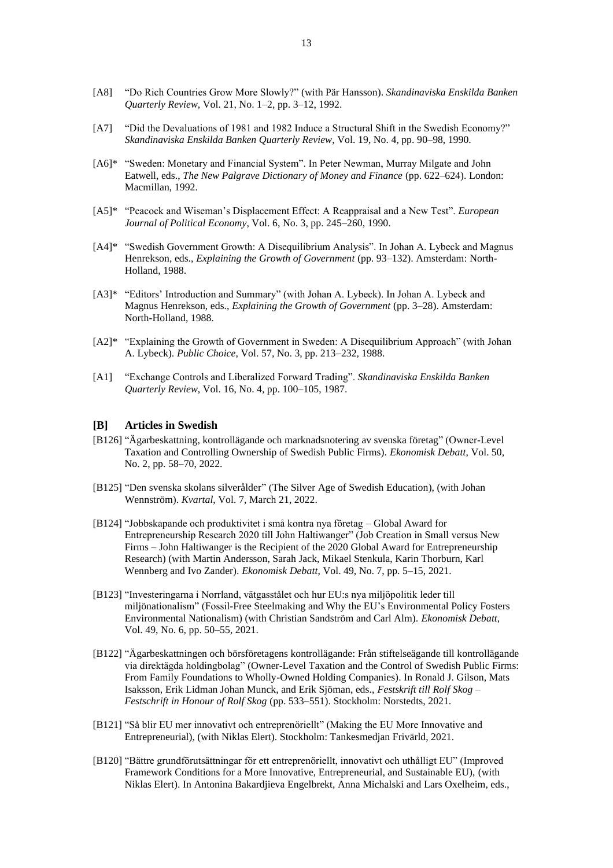- [A8] "Do Rich Countries Grow More Slowly?" (with Pär Hansson). *Skandinaviska Enskilda Banken Quarterly Review*, Vol. 21, No. 1–2, pp. 3–12, 1992.
- [A7] "Did the Devaluations of 1981 and 1982 Induce a Structural Shift in the Swedish Economy?" *Skandinaviska Enskilda Banken Quarterly Review*, Vol. 19, No. 4, pp. 90–98, 1990.
- [A6]\* "Sweden: Monetary and Financial System". In Peter Newman, Murray Milgate and John Eatwell, eds., *The New Palgrave Dictionary of Money and Finance* (pp. 622–624). London: Macmillan, 1992.
- [A5]\* "Peacock and Wiseman's Displacement Effect: A Reappraisal and a New Test". *European Journal of Political Economy*, Vol. 6, No. 3, pp. 245–260, 1990.
- [A4]\* "Swedish Government Growth: A Disequilibrium Analysis". In Johan A. Lybeck and Magnus Henrekson, eds., *Explaining the Growth of Government* (pp. 93–132). Amsterdam: North-Holland, 1988.
- [A3]\* "Editors' Introduction and Summary" (with Johan A. Lybeck). In Johan A. Lybeck and Magnus Henrekson, eds., *Explaining the Growth of Government* (pp. 3–28). Amsterdam: North-Holland, 1988.
- [A2]\* "Explaining the Growth of Government in Sweden: A Disequilibrium Approach" (with Johan A. Lybeck). *Public Choice*, Vol. 57, No. 3, pp. 213–232, 1988.
- [A1] "Exchange Controls and Liberalized Forward Trading". *Skandinaviska Enskilda Banken Quarterly Review*, Vol. 16, No. 4, pp. 100–105, 1987.

## **[B] Articles in Swedish**

- [B126] "Ägarbeskattning, kontrollägande och marknadsnotering av svenska företag" (Owner-Level Taxation and Controlling Ownership of Swedish Public Firms). *Ekonomisk Debatt*, Vol. 50, No. 2, pp. 58–70, 2022.
- [B125] "Den svenska skolans silverålder" (The Silver Age of Swedish Education), (with Johan Wennström). *Kvartal*, Vol. 7, March 21, 2022.
- [B124] "Jobbskapande och produktivitet i små kontra nya företag Global Award for Entrepreneurship Research 2020 till John Haltiwanger" (Job Creation in Small versus New Firms – John Haltiwanger is the Recipient of the 2020 Global Award for Entrepreneurship Research) (with Martin Andersson, Sarah Jack, Mikael Stenkula, Karin Thorburn, Karl Wennberg and Ivo Zander). *Ekonomisk Debatt*, Vol. 49, No. 7, pp. 5–15, 2021.
- [B123] "Investeringarna i Norrland, vätgasstålet och hur EU:s nya miljöpolitik leder till miljönationalism" (Fossil-Free Steelmaking and Why the EU's Environmental Policy Fosters Environmental Nationalism) (with Christian Sandström and Carl Alm). *Ekonomisk Debatt*, Vol. 49, No. 6, pp. 50–55, 2021.
- [B122] "Ägarbeskattningen och börsföretagens kontrollägande: Från stiftelseägande till kontrollägande via direktägda holdingbolag" (Owner-Level Taxation and the Control of Swedish Public Firms: From Family Foundations to Wholly-Owned Holding Companies). In Ronald J. Gilson, Mats Isaksson, Erik Lidman Johan Munck, and Erik Sjöman, eds., *Festskrift till Rolf Skog – Festschrift in Honour of Rolf Skog* (pp. 533–551). Stockholm: Norstedts, 2021.
- [B121] "Så blir EU mer innovativt och entreprenöriellt" (Making the EU More Innovative and Entrepreneurial), (with Niklas Elert). Stockholm: Tankesmedjan Frivärld, 2021.
- [B120] "Bättre grundförutsättningar för ett entreprenöriellt, innovativt och uthålligt EU" (Improved Framework Conditions for a More Innovative, Entrepreneurial, and Sustainable EU), (with Niklas Elert). In Antonina Bakardjieva Engelbrekt, Anna Michalski and Lars Oxelheim, eds.,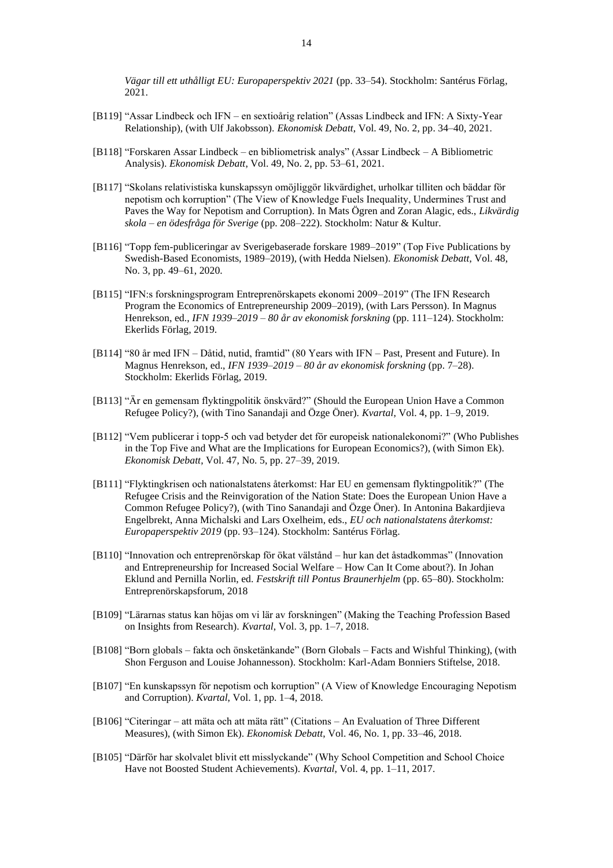- [B119] "Assar Lindbeck och IFN en sextioårig relation" (Assas Lindbeck and IFN: A Sixty-Year Relationship), (with Ulf Jakobsson). *Ekonomisk Debatt*, Vol. 49, No. 2, pp. 34–40, 2021.
- [B118] "Forskaren Assar Lindbeck en bibliometrisk analys" (Assar Lindbeck A Bibliometric Analysis). *Ekonomisk Debatt*, Vol. 49, No. 2, pp. 53–61, 2021.
- [B117] "Skolans relativistiska kunskapssyn omöjliggör likvärdighet, urholkar tilliten och bäddar för nepotism och korruption" (The View of Knowledge Fuels Inequality, Undermines Trust and Paves the Way for Nepotism and Corruption). In Mats Ögren and Zoran Alagic, eds., *Likvärdig skola – en ödesfråga för Sverige* (pp. 208–222). Stockholm: Natur & Kultur.
- [B116] "Topp fem-publiceringar av Sverigebaserade forskare 1989–2019" (Top Five Publications by Swedish-Based Economists, 1989–2019), (with Hedda Nielsen). *Ekonomisk Debatt*, Vol. 48, No. 3, pp. 49–61, 2020.
- [B115] "IFN:s forskningsprogram Entreprenörskapets ekonomi 2009–2019" (The IFN Research Program the Economics of Entrepreneurship 2009–2019), (with Lars Persson). In Magnus Henrekson, ed., *IFN 1939–2019 – 80 år av ekonomisk forskning* (pp. 111–124). Stockholm: Ekerlids Förlag, 2019.
- [B114] "80 år med IFN Dåtid, nutid, framtid" (80 Years with IFN Past, Present and Future). In Magnus Henrekson, ed., *IFN 1939–2019 – 80 år av ekonomisk forskning* (pp. 7–28). Stockholm: Ekerlids Förlag, 2019.
- [B113] "Är en gemensam flyktingpolitik önskvärd?" (Should the European Union Have a Common Refugee Policy?), (with Tino Sanandaji and Özge Öner). *Kvartal*, Vol. 4, pp. 1–9, 2019.
- [B112] "Vem publicerar i topp-5 och vad betyder det för europeisk nationalekonomi?" (Who Publishes in the Top Five and What are the Implications for European Economics?), (with Simon Ek). *Ekonomisk Debatt*, Vol. 47, No. 5, pp. 27–39, 2019.
- [B111] "Flyktingkrisen och nationalstatens återkomst: Har EU en gemensam flyktingpolitik?" (The Refugee Crisis and the Reinvigoration of the Nation State: Does the European Union Have a Common Refugee Policy?), (with Tino Sanandaji and Özge Öner). In Antonina Bakardjieva Engelbrekt, Anna Michalski and Lars Oxelheim, eds., *EU och nationalstatens återkomst: Europaperspektiv 2019* (pp. 93–124). Stockholm: Santérus Förlag.
- [B110] "Innovation och entreprenörskap för ökat välstånd hur kan det åstadkommas" (Innovation and Entrepreneurship for Increased Social Welfare – How Can It Come about?). In Johan Eklund and Pernilla Norlin, ed. *Festskrift till Pontus Braunerhjelm* (pp. 65–80). Stockholm: Entreprenörskapsforum, 2018
- [B109] "Lärarnas status kan höjas om vi lär av forskningen" (Making the Teaching Profession Based on Insights from Research). *Kvartal*, Vol. 3, pp. 1–7, 2018.
- [B108] "Born globals fakta och önsketänkande" (Born Globals Facts and Wishful Thinking), (with Shon Ferguson and Louise Johannesson). Stockholm: Karl-Adam Bonniers Stiftelse, 2018.
- [B107] "En kunskapssyn för nepotism och korruption" (A View of Knowledge Encouraging Nepotism and Corruption). *Kvartal*, Vol. 1, pp. 1–4, 2018.
- [B106] "Citeringar att mäta och att mäta rätt" (Citations An Evaluation of Three Different Measures), (with Simon Ek). *Ekonomisk Debatt*, Vol. 46, No. 1, pp. 33–46, 2018.
- [B105] "Därför har skolvalet blivit ett misslyckande" (Why School Competition and School Choice Have not Boosted Student Achievements). *Kvartal*, Vol. 4, pp. 1–11, 2017.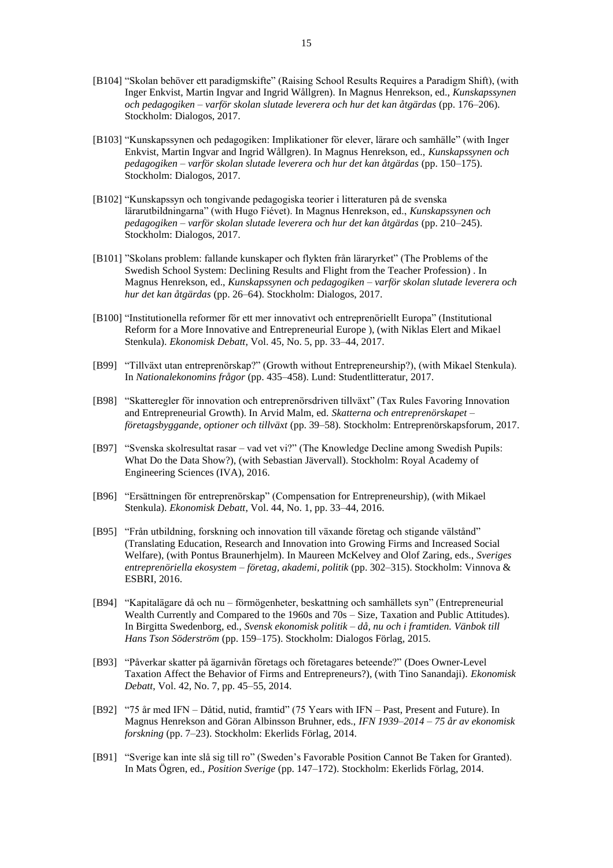- [B104] "Skolan behöver ett paradigmskifte" (Raising School Results Requires a Paradigm Shift), (with Inger Enkvist, Martin Ingvar and Ingrid Wållgren). In Magnus Henrekson, ed., *Kunskapssynen och pedagogiken – varför skolan slutade leverera och hur det kan åtgärdas* (pp. 176–206). Stockholm: Dialogos, 2017.
- [B103] "Kunskapssynen och pedagogiken: Implikationer för elever, lärare och samhälle" (with Inger Enkvist, Martin Ingvar and Ingrid Wållgren). In Magnus Henrekson, ed., *Kunskapssynen och pedagogiken – varför skolan slutade leverera och hur det kan åtgärdas* (pp. 150–175). Stockholm: Dialogos, 2017.
- [B102] "Kunskapssyn och tongivande pedagogiska teorier i litteraturen på de svenska lärarutbildningarna" (with Hugo Fiévet). In Magnus Henrekson, ed., *Kunskapssynen och pedagogiken – varför skolan slutade leverera och hur det kan åtgärdas* (pp. 210–245). Stockholm: Dialogos, 2017.
- [B101] "Skolans problem: fallande kunskaper och flykten från läraryrket" (The Problems of the Swedish School System: Declining Results and Flight from the Teacher Profession) . In Magnus Henrekson, ed., *Kunskapssynen och pedagogiken – varför skolan slutade leverera och hur det kan åtgärdas* (pp. 26–64). Stockholm: Dialogos, 2017.
- [B100] "Institutionella reformer för ett mer innovativt och entreprenöriellt Europa" (Institutional Reform for a More Innovative and Entrepreneurial Europe ), (with Niklas Elert and Mikael Stenkula). *Ekonomisk Debatt*, Vol. 45, No. 5, pp. 33–44, 2017.
- [B99] "Tillväxt utan entreprenörskap?" (Growth without Entrepreneurship?), (with Mikael Stenkula). In *Nationalekonomins frågor* (pp. 435–458). Lund: Studentlitteratur, 2017.
- [B98] "Skatteregler för innovation och entreprenörsdriven tillväxt" (Tax Rules Favoring Innovation and Entrepreneurial Growth). In Arvid Malm, ed. *Skatterna och entreprenörskapet – företagsbyggande, optioner och tillväxt* (pp. 39–58). Stockholm: Entreprenörskapsforum, 2017.
- [B97] "Svenska skolresultat rasar vad vet vi?" (The Knowledge Decline among Swedish Pupils: What Do the Data Show?), (with Sebastian Jävervall). Stockholm: Royal Academy of Engineering Sciences (IVA), 2016.
- [B96] "Ersättningen för entreprenörskap" (Compensation for Entrepreneurship), (with Mikael Stenkula). *Ekonomisk Debatt*, Vol. 44, No. 1, pp. 33–44, 2016.
- [B95] "Från utbildning, forskning och innovation till växande företag och stigande välstånd" (Translating Education, Research and Innovation into Growing Firms and Increased Social Welfare), (with Pontus Braunerhjelm). In Maureen McKelvey and Olof Zaring, eds., *Sveriges entreprenöriella ekosystem – företag, akademi, politik* (pp. 302–315). Stockholm: Vinnova & ESBRI, 2016.
- [B94] "Kapitalägare då och nu förmögenheter, beskattning och samhällets syn" (Entrepreneurial Wealth Currently and Compared to the 1960s and 70s – Size, Taxation and Public Attitudes). In Birgitta Swedenborg, ed., *Svensk ekonomisk politik – då, nu och i framtiden. Vänbok till Hans Tson Söderström* (pp. 159–175). Stockholm: Dialogos Förlag, 2015.
- [B93] "Påverkar skatter på ägarnivån företags och företagares beteende?" (Does Owner-Level Taxation Affect the Behavior of Firms and Entrepreneurs?), (with Tino Sanandaji). *Ekonomisk Debatt*, Vol. 42, No. 7, pp. 45–55, 2014.
- [B92] "75 år med IFN Dåtid, nutid, framtid" (75 Years with IFN Past, Present and Future). In Magnus Henrekson and Göran Albinsson Bruhner, eds., *IFN 1939–2014 – 75 år av ekonomisk forskning* (pp. 7–23). Stockholm: Ekerlids Förlag, 2014.
- [B91] "Sverige kan inte slå sig till ro" (Sweden's Favorable Position Cannot Be Taken for Granted). In Mats Ögren, ed., *Position Sverige* (pp. 147–172). Stockholm: Ekerlids Förlag, 2014.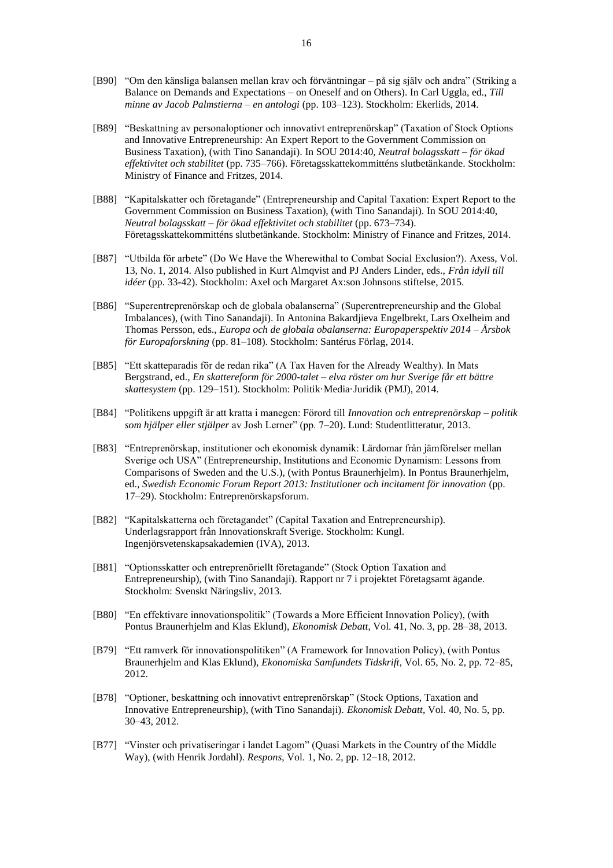- [B90] "Om den känsliga balansen mellan krav och förväntningar på sig själv och andra" (Striking a Balance on Demands and Expectations – on Oneself and on Others). In Carl Uggla, ed., *Till minne av Jacob Palmstierna – en antologi* (pp. 103–123). Stockholm: Ekerlids, 2014.
- [B89] "Beskattning av personaloptioner och innovativt entreprenörskap" (Taxation of Stock Options and Innovative Entrepreneurship: An Expert Report to the Government Commission on Business Taxation), (with Tino Sanandaji). In SOU 2014:40, *Neutral bolagsskatt – för ökad effektivitet och stabilitet* (pp. 735–766). Företagsskattekommitténs slutbetänkande. Stockholm: Ministry of Finance and Fritzes, 2014.
- [B88] "Kapitalskatter och företagande" (Entrepreneurship and Capital Taxation: Expert Report to the Government Commission on Business Taxation), (with Tino Sanandaji). In SOU 2014:40, *Neutral bolagsskatt – för ökad effektivitet och stabilitet* (pp. 673–734). Företagsskattekommitténs slutbetänkande. Stockholm: Ministry of Finance and Fritzes, 2014.
- [B87] "Utbilda för arbete" (Do We Have the Wherewithal to Combat Social Exclusion?). Axess, Vol. 13, No. 1, 2014. Also published in Kurt Almqvist and PJ Anders Linder, eds., *Från idyll till idéer* (pp. 33-42). Stockholm: Axel och Margaret Ax:son Johnsons stiftelse, 2015.
- [B86] "Superentreprenörskap och de globala obalanserna" (Superentrepreneurship and the Global Imbalances), (with Tino Sanandaji). In Antonina Bakardjieva Engelbrekt, Lars Oxelheim and Thomas Persson, eds., *Europa och de globala obalanserna: Europaperspektiv 2014 – Årsbok för Europaforskning* (pp. 81–108). Stockholm: Santérus Förlag, 2014.
- [B85] "Ett skatteparadis för de redan rika" (A Tax Haven for the Already Wealthy). In Mats Bergstrand, ed., *En skattereform för 2000-talet – elva röster om hur Sverige får ett bättre skattesystem* (pp. 129–151). Stockholm: Politik·Media·Juridik (PMJ), 2014.
- [B84] "Politikens uppgift är att kratta i manegen: Förord till *Innovation och entreprenörskap – politik som hjälper eller stjälper* av Josh Lerner" (pp. 7–20). Lund: Studentlitteratur, 2013.
- [B83] "Entreprenörskap, institutioner och ekonomisk dynamik: Lärdomar från jämförelser mellan Sverige och USA" (Entrepreneurship, Institutions and Economic Dynamism: Lessons from Comparisons of Sweden and the U.S.), (with Pontus Braunerhjelm). In Pontus Braunerhjelm, ed., *Swedish Economic Forum Report 2013: Institutioner och incitament för innovation* (pp. 17–29). Stockholm: Entreprenörskapsforum.
- [B82] "Kapitalskatterna och företagandet" (Capital Taxation and Entrepreneurship). Underlagsrapport från Innovationskraft Sverige. Stockholm: Kungl. Ingenjörsvetenskapsakademien (IVA), 2013.
- [B81] "Optionsskatter och entreprenöriellt företagande" (Stock Option Taxation and Entrepreneurship), (with Tino Sanandaji). Rapport nr 7 i projektet Företagsamt ägande. Stockholm: Svenskt Näringsliv, 2013.
- [B80] "En effektivare innovationspolitik" (Towards a More Efficient Innovation Policy), (with Pontus Braunerhjelm and Klas Eklund), *Ekonomisk Debatt*, Vol. 41, No. 3, pp. 28–38, 2013.
- [B79] "Ett ramverk för innovationspolitiken" (A Framework for Innovation Policy), (with Pontus Braunerhjelm and Klas Eklund), *Ekonomiska Samfundets Tidskrift*, Vol. 65, No. 2, pp. 72–85, 2012.
- [B78] "Optioner, beskattning och innovativt entreprenörskap" (Stock Options, Taxation and Innovative Entrepreneurship), (with Tino Sanandaji). *Ekonomisk Debatt*, Vol. 40, No. 5, pp. 30–43, 2012.
- [B77] "Vinster och privatiseringar i landet Lagom" (Quasi Markets in the Country of the Middle Way), (with Henrik Jordahl). *Respons*, Vol. 1, No. 2, pp. 12–18, 2012.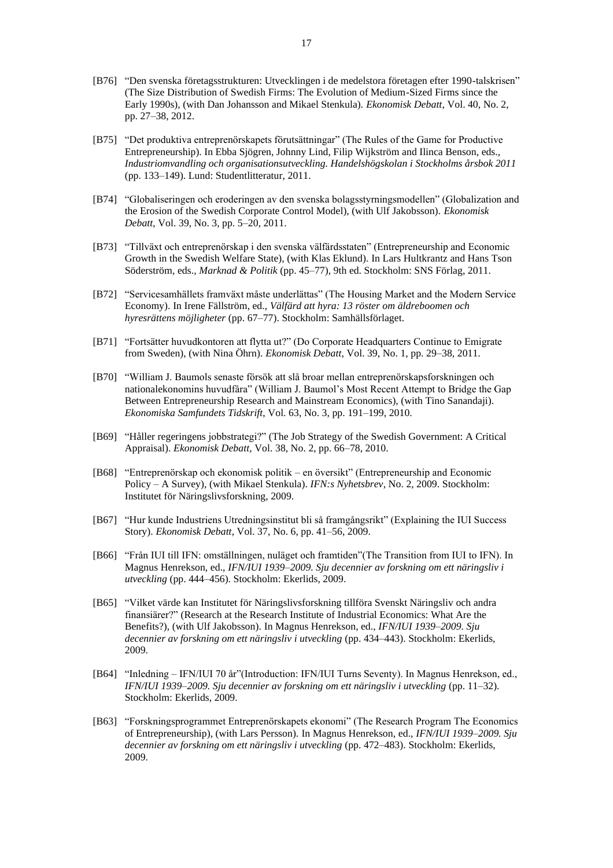- [B76] "Den svenska företagsstrukturen: Utvecklingen i de medelstora företagen efter 1990-talskrisen" (The Size Distribution of Swedish Firms: The Evolution of Medium-Sized Firms since the Early 1990s), (with Dan Johansson and Mikael Stenkula). *Ekonomisk Debatt*, Vol. 40, No. 2, pp. 27–38, 2012.
- [B75] "Det produktiva entreprenörskapets förutsättningar" (The Rules of the Game for Productive Entrepreneurship). In Ebba Sjögren, Johnny Lind, Filip Wijkström and Ilinca Benson, eds., *Industriomvandling och organisationsutveckling. Handelshögskolan i Stockholms årsbok 2011* (pp. 133–149). Lund: Studentlitteratur, 2011.
- [B74] "Globaliseringen och eroderingen av den svenska bolagsstyrningsmodellen" (Globalization and the Erosion of the Swedish Corporate Control Model), (with Ulf Jakobsson). *Ekonomisk Debatt*, Vol. 39, No. 3, pp. 5–20, 2011.
- [B73] "Tillväxt och entreprenörskap i den svenska välfärdsstaten" (Entrepreneurship and Economic Growth in the Swedish Welfare State), (with Klas Eklund). In Lars Hultkrantz and Hans Tson Söderström, eds., *Marknad & Politik* (pp. 45–77), 9th ed. Stockholm: SNS Förlag, 2011.
- [B72] "Servicesamhällets framväxt måste underlättas" (The Housing Market and the Modern Service Economy). In Irene Fällström, ed., *Välfärd att hyra: 13 röster om äldreboomen och hyresrättens möjligheter* (pp. 67–77). Stockholm: Samhällsförlaget.
- [B71] "Fortsätter huvudkontoren att flytta ut?" (Do Corporate Headquarters Continue to Emigrate from Sweden), (with Nina Öhrn). *Ekonomisk Debatt*, Vol. 39, No. 1, pp. 29–38, 2011.
- [B70] "William J. Baumols senaste försök att slå broar mellan entreprenörskapsforskningen och nationalekonomins huvudfåra" (William J. Baumol's Most Recent Attempt to Bridge the Gap Between Entrepreneurship Research and Mainstream Economics), (with Tino Sanandaji). *Ekonomiska Samfundets Tidskrift*, Vol. 63, No. 3, pp. 191–199, 2010.
- [B69] "Håller regeringens jobbstrategi?" (The Job Strategy of the Swedish Government: A Critical Appraisal). *Ekonomisk Debatt*, Vol. 38, No. 2, pp. 66–78, 2010.
- [B68] "Entreprenörskap och ekonomisk politik en översikt" (Entrepreneurship and Economic Policy – A Survey), (with Mikael Stenkula). *IFN:s Nyhetsbrev*, No. 2, 2009. Stockholm: Institutet för Näringslivsforskning, 2009.
- [B67] "Hur kunde Industriens Utredningsinstitut bli så framgångsrikt" (Explaining the IUI Success Story). *Ekonomisk Debatt*, Vol. 37, No. 6, pp. 41–56, 2009.
- [B66] "Från IUI till IFN: omställningen, nuläget och framtiden"(The Transition from IUI to IFN). In Magnus Henrekson, ed., *IFN/IUI 1939–2009. Sju decennier av forskning om ett näringsliv i utveckling* (pp. 444–456). Stockholm: Ekerlids, 2009.
- [B65] "Vilket värde kan Institutet för Näringslivsforskning tillföra Svenskt Näringsliv och andra finansiärer?" (Research at the Research Institute of Industrial Economics: What Are the Benefits?), (with Ulf Jakobsson). In Magnus Henrekson, ed., *IFN/IUI 1939–2009. Sju decennier av forskning om ett näringsliv i utveckling* (pp. 434–443). Stockholm: Ekerlids, 2009.
- [B64] "Inledning IFN/IUI 70 år"(Introduction: IFN/IUI Turns Seventy). In Magnus Henrekson, ed., *IFN/IUI 1939–2009. Sju decennier av forskning om ett näringsliv i utveckling* (pp. 11–32). Stockholm: Ekerlids, 2009.
- [B63] "Forskningsprogrammet Entreprenörskapets ekonomi" (The Research Program The Economics of Entrepreneurship), (with Lars Persson). In Magnus Henrekson, ed., *IFN/IUI 1939–2009. Sju decennier av forskning om ett näringsliv i utveckling* (pp. 472–483). Stockholm: Ekerlids, 2009.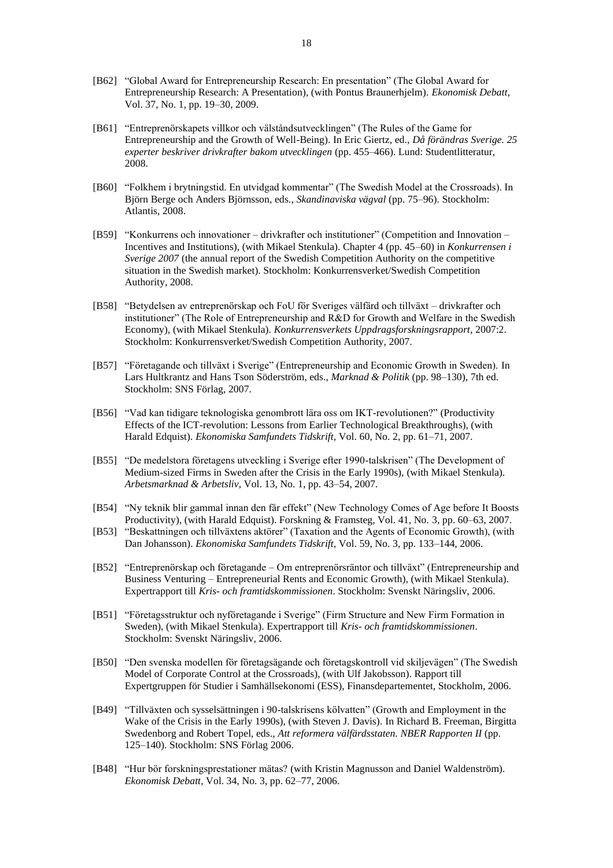- [B62] "Global Award for Entrepreneurship Research: En presentation" (The Global Award for Entrepreneurship Research: A Presentation), (with Pontus Braunerhjelm). *Ekonomisk Debatt*, Vol. 37, No. 1, pp. 19–30, 2009.
- [B61] "Entreprenörskapets villkor och välståndsutvecklingen" (The Rules of the Game for Entrepreneurship and the Growth of Well-Being). In Eric Giertz, ed., *Då förändras Sverige. 25 experter beskriver drivkrafter bakom utvecklingen* (pp. 455–466). Lund: Studentlitteratur, 2008.
- [B60] "Folkhem i brytningstid. En utvidgad kommentar" (The Swedish Model at the Crossroads). In Björn Berge och Anders Björnsson, eds., *Skandinaviska vägval* (pp. 75–96). Stockholm: Atlantis, 2008.
- [B59] "Konkurrens och innovationer drivkrafter och institutioner" (Competition and Innovation Incentives and Institutions), (with Mikael Stenkula). Chapter 4 (pp. 45–60) in *Konkurrensen i Sverige 2007* (the annual report of the Swedish Competition Authority on the competitive situation in the Swedish market). Stockholm: Konkurrensverket/Swedish Competition Authority, 2008.
- [B58] "Betydelsen av entreprenörskap och FoU för Sveriges välfärd och tillväxt drivkrafter och institutioner" (The Role of Entrepreneurship and R&D for Growth and Welfare in the Swedish Economy), (with Mikael Stenkula). *Konkurrensverkets Uppdragsforskningsrapport*, 2007:2. Stockholm: Konkurrensverket/Swedish Competition Authority, 2007.
- [B57] "Företagande och tillväxt i Sverige" (Entrepreneurship and Economic Growth in Sweden). In Lars Hultkrantz and Hans Tson Söderström, eds., *Marknad & Politik* (pp. 98–130), 7th ed. Stockholm: SNS Förlag, 2007.
- [B56] "Vad kan tidigare teknologiska genombrott lära oss om IKT-revolutionen?" (Productivity Effects of the ICT-revolution: Lessons from Earlier Technological Breakthroughs), (with Harald Edquist). *Ekonomiska Samfundets Tidskrift*, Vol. 60, No. 2, pp. 61–71, 2007.
- [B55] "De medelstora företagens utveckling i Sverige efter 1990-talskrisen" (The Development of Medium-sized Firms in Sweden after the Crisis in the Early 1990s), (with Mikael Stenkula). *Arbetsmarknad & Arbetsliv*, Vol. 13, No. 1, pp. 43–54, 2007.
- [B54] "Ny teknik blir gammal innan den får effekt" (New Technology Comes of Age before It Boosts Productivity), (with Harald Edquist). Forskning & Framsteg, Vol. 41, No. 3, pp. 60–63, 2007.
- [B53] "Beskattningen och tillväxtens aktörer" (Taxation and the Agents of Economic Growth), (with Dan Johansson). *Ekonomiska Samfundets Tidskrift*, Vol. 59, No. 3, pp. 133–144, 2006.
- [B52] "Entreprenörskap och företagande Om entreprenörsräntor och tillväxt" (Entrepreneurship and Business Venturing – Entrepreneurial Rents and Economic Growth), (with Mikael Stenkula). Expertrapport till *Kris- och framtidskommissionen*. Stockholm: Svenskt Näringsliv, 2006.
- [B51] "Företagsstruktur och nyföretagande i Sverige" (Firm Structure and New Firm Formation in Sweden), (with Mikael Stenkula). Expertrapport till *Kris- och framtidskommissionen*. Stockholm: Svenskt Näringsliv, 2006.
- [B50] "Den svenska modellen för företagsägande och företagskontroll vid skiljevägen" (The Swedish Model of Corporate Control at the Crossroads), (with Ulf Jakobsson). Rapport till Expertgruppen för Studier i Samhällsekonomi (ESS), Finansdepartementet, Stockholm, 2006.
- [B49] "Tillväxten och sysselsättningen i 90-talskrisens kölvatten" (Growth and Employment in the Wake of the Crisis in the Early 1990s), (with Steven J. Davis). In Richard B. Freeman, Birgitta Swedenborg and Robert Topel, eds., *Att reformera välfärdsstaten. NBER Rapporten II* (pp. 125–140). Stockholm: SNS Förlag 2006.
- [B48] "Hur bör forskningsprestationer mätas? (with Kristin Magnusson and Daniel Waldenström). *Ekonomisk Debatt*, Vol. 34, No. 3, pp. 62–77, 2006.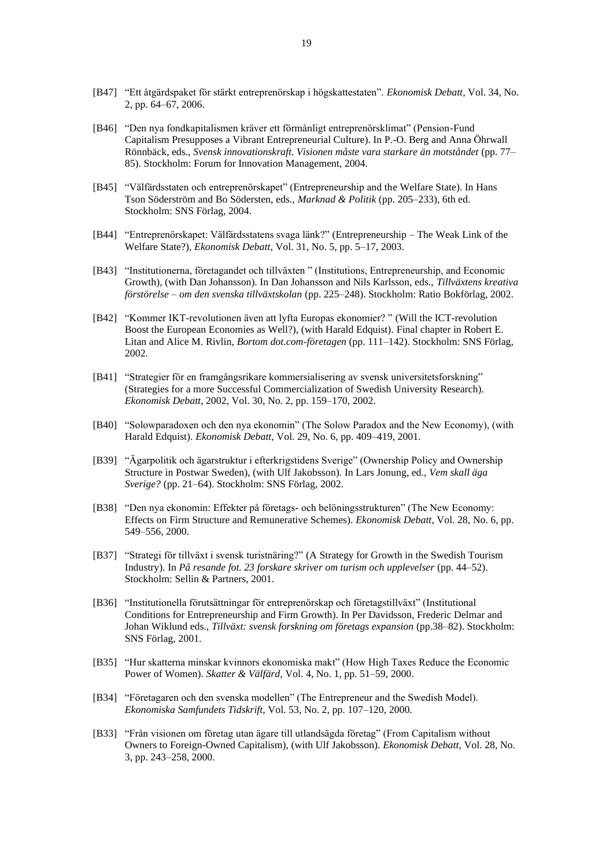- [B47] "Ett åtgärdspaket för stärkt entreprenörskap i högskattestaten". *Ekonomisk Debatt*, Vol. 34, No. 2, pp. 64–67, 2006.
- [B46] "Den nya fondkapitalismen kräver ett förmånligt entreprenörsklimat" (Pension-Fund Capitalism Presupposes a Vibrant Entrepreneurial Culture). In P.-O. Berg and Anna Öhrwall Rönnbäck, eds., *Svensk innovationskraft. Visionen måste vara starkare än motståndet* (pp. 77– 85). Stockholm: Forum for Innovation Management, 2004.
- [B45] "Välfärdsstaten och entreprenörskapet" (Entrepreneurship and the Welfare State). In Hans Tson Söderström and Bo Södersten, eds., *Marknad & Politik* (pp. 205–233), 6th ed. Stockholm: SNS Förlag, 2004.
- [B44] "Entreprenörskapet: Välfärdsstatens svaga länk?" (Entrepreneurship The Weak Link of the Welfare State?), *Ekonomisk Debatt*, Vol. 31, No. 5, pp. 5–17, 2003.
- [B43] "Institutionerna, företagandet och tillväxten " (Institutions, Entrepreneurship, and Economic Growth), (with Dan Johansson). In Dan Johansson and Nils Karlsson, eds., *Tillväxtens kreativa förstörelse – om den svenska tillväxtskolan* (pp. 225–248). Stockholm: Ratio Bokförlag, 2002.
- [B42] "Kommer IKT-revolutionen även att lyfta Europas ekonomier? " (Will the ICT-revolution Boost the European Economies as Well?), (with Harald Edquist). Final chapter in Robert E. Litan and Alice M. Rivlin, *Bortom dot.com-företagen* (pp. 111–142). Stockholm: SNS Förlag, 2002.
- [B41] "Strategier för en framgångsrikare kommersialisering av svensk universitetsforskning" (Strategies for a more Successful Commercialization of Swedish University Research). *Ekonomisk Debatt*, 2002, Vol. 30, No. 2, pp. 159–170, 2002.
- [B40] "Solowparadoxen och den nya ekonomin" (The Solow Paradox and the New Economy), (with Harald Edquist). *Ekonomisk Debatt*, Vol. 29, No. 6, pp. 409–419, 2001.
- [B39] "Ägarpolitik och ägarstruktur i efterkrigstidens Sverige" (Ownership Policy and Ownership Structure in Postwar Sweden), (with Ulf Jakobsson). In Lars Jonung, ed., *Vem skall äga Sverige?* (pp. 21–64). Stockholm: SNS Förlag, 2002.
- [B38] "Den nya ekonomin: Effekter på företags- och belöningsstrukturen" (The New Economy: Effects on Firm Structure and Remunerative Schemes). *Ekonomisk Debatt*, Vol. 28, No. 6, pp. 549–556, 2000.
- [B37] "Strategi för tillväxt i svensk turistnäring?" (A Strategy for Growth in the Swedish Tourism Industry). In *På resande fot. 23 forskare skriver om turism och upplevelser* (pp. 44–52). Stockholm: Sellin & Partners, 2001.
- [B36] "Institutionella förutsättningar för entreprenörskap och företagstillväxt" (Institutional Conditions for Entrepreneurship and Firm Growth). In Per Davidsson, Frederic Delmar and Johan Wiklund eds., *Tillväxt: svensk forskning om företags expansion* (pp.38–82). Stockholm: SNS Förlag, 2001.
- [B35] "Hur skatterna minskar kvinnors ekonomiska makt" (How High Taxes Reduce the Economic Power of Women). *Skatter & Välfärd*, Vol. 4, No. 1, pp. 51–59, 2000.
- [B34] "Företagaren och den svenska modellen" (The Entrepreneur and the Swedish Model). *Ekonomiska Samfundets Tidskrift*, Vol. 53, No. 2, pp. 107–120, 2000.
- [B33] "Från visionen om företag utan ägare till utlandsägda företag" (From Capitalism without Owners to Foreign-Owned Capitalism), (with Ulf Jakobsson). *Ekonomisk Debatt*, Vol. 28, No. 3, pp. 243–258, 2000.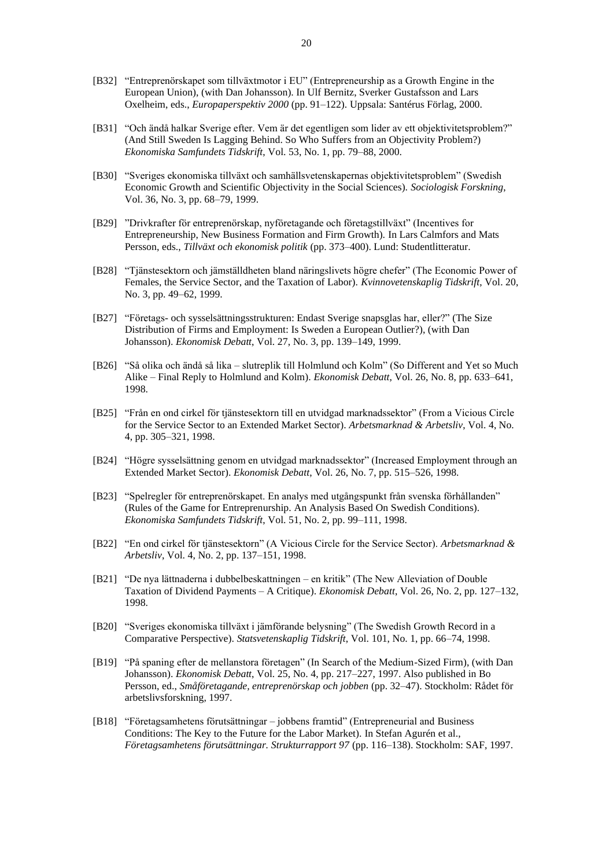- [B32] "Entreprenörskapet som tillväxtmotor i EU" (Entrepreneurship as a Growth Engine in the European Union), (with Dan Johansson). In Ulf Bernitz, Sverker Gustafsson and Lars Oxelheim, eds., *Europaperspektiv 2000* (pp. 91–122). Uppsala: Santérus Förlag, 2000.
- [B31] "Och ändå halkar Sverige efter. Vem är det egentligen som lider av ett objektivitetsproblem?" (And Still Sweden Is Lagging Behind. So Who Suffers from an Objectivity Problem?) *Ekonomiska Samfundets Tidskrift*, Vol. 53, No. 1, pp. 79–88, 2000.
- [B30] "Sveriges ekonomiska tillväxt och samhällsvetenskapernas objektivitetsproblem" (Swedish Economic Growth and Scientific Objectivity in the Social Sciences). *Sociologisk Forskning*, Vol. 36, No. 3, pp. 68–79, 1999.
- [B29] "Drivkrafter för entreprenörskap, nyföretagande och företagstillväxt" (Incentives for Entrepreneurship, New Business Formation and Firm Growth). In Lars Calmfors and Mats Persson, eds., *Tillväxt och ekonomisk politik* (pp. 373–400). Lund: Studentlitteratur.
- [B28] "Tjänstesektorn och jämställdheten bland näringslivets högre chefer" (The Economic Power of Females, the Service Sector, and the Taxation of Labor). *Kvinnovetenskaplig Tidskrift*, Vol. 20, No. 3, pp. 49–62, 1999.
- [B27] "Företags- och sysselsättningsstrukturen: Endast Sverige snapsglas har, eller?" (The Size Distribution of Firms and Employment: Is Sweden a European Outlier?), (with Dan Johansson). *Ekonomisk Debatt*, Vol. 27, No. 3, pp. 139–149, 1999.
- [B26] "Så olika och ändå så lika slutreplik till Holmlund och Kolm" (So Different and Yet so Much Alike – Final Reply to Holmlund and Kolm). *Ekonomisk Debatt*, Vol. 26, No. 8, pp. 633–641, 1998.
- [B25] "Från en ond cirkel för tjänstesektorn till en utvidgad marknadssektor" (From a Vicious Circle for the Service Sector to an Extended Market Sector). *Arbetsmarknad & Arbetsliv*, Vol. 4, No. 4, pp. 305–321, 1998.
- [B24] "Högre sysselsättning genom en utvidgad marknadssektor" (Increased Employment through an Extended Market Sector). *Ekonomisk Debatt*, Vol. 26, No. 7, pp. 515–526, 1998.
- [B23] "Spelregler för entreprenörskapet. En analys med utgångspunkt från svenska förhållanden" (Rules of the Game for Entreprenurship. An Analysis Based On Swedish Conditions). *Ekonomiska Samfundets Tidskrift*, Vol. 51, No. 2, pp. 99–111, 1998.
- [B22] "En ond cirkel för tjänstesektorn" (A Vicious Circle for the Service Sector). *Arbetsmarknad & Arbetsliv*, Vol. 4, No. 2, pp. 137–151, 1998.
- [B21] "De nya lättnaderna i dubbelbeskattningen en kritik" (The New Alleviation of Double Taxation of Dividend Payments – A Critique). *Ekonomisk Debatt*, Vol. 26, No. 2, pp. 127–132, 1998.
- [B20] "Sveriges ekonomiska tillväxt i jämförande belysning" (The Swedish Growth Record in a Comparative Perspective). *Statsvetenskaplig Tidskrift*, Vol. 101, No. 1, pp. 66–74, 1998.
- [B19] "På spaning efter de mellanstora företagen" (In Search of the Medium-Sized Firm), (with Dan Johansson). *Ekonomisk Debatt*, Vol. 25, No. 4, pp. 217–227, 1997. Also published in Bo Persson, ed., *Småföretagande, entreprenörskap och jobben* (pp. 32–47). Stockholm: Rådet för arbetslivsforskning, 1997.
- [B18] "Företagsamhetens förutsättningar jobbens framtid" (Entrepreneurial and Business Conditions: The Key to the Future for the Labor Market). In Stefan Agurén et al., *Företagsamhetens förutsättningar. Strukturrapport 97* (pp. 116–138). Stockholm: SAF, 1997.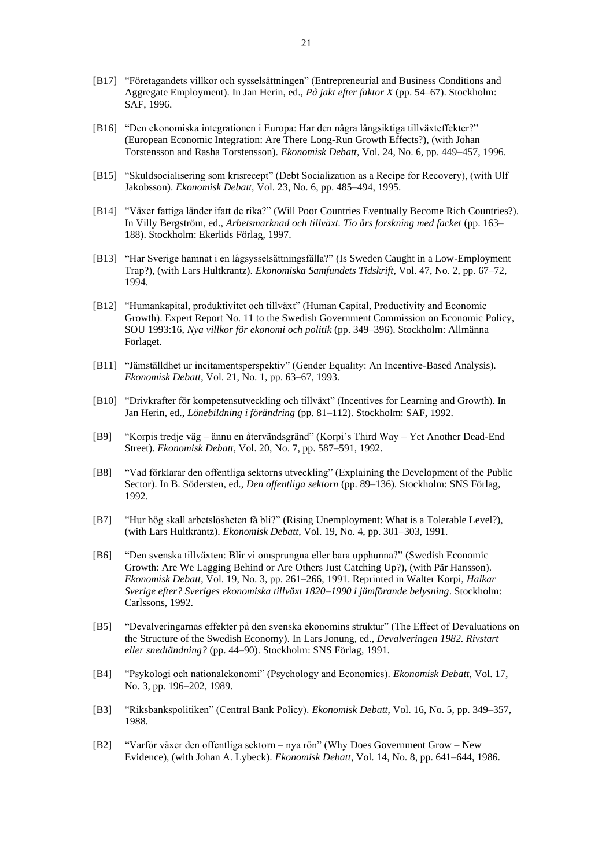- [B17] "Företagandets villkor och sysselsättningen" (Entrepreneurial and Business Conditions and Aggregate Employment). In Jan Herin, ed., *På jakt efter faktor X* (pp. 54–67). Stockholm: SAF, 1996.
- [B16] "Den ekonomiska integrationen i Europa: Har den några långsiktiga tillväxteffekter?" (European Economic Integration: Are There Long-Run Growth Effects?), (with Johan Torstensson and Rasha Torstensson). *Ekonomisk Debatt*, Vol. 24, No. 6, pp. 449–457, 1996.
- [B15] "Skuldsocialisering som krisrecept" (Debt Socialization as a Recipe for Recovery), (with Ulf Jakobsson). *Ekonomisk Debatt*, Vol. 23, No. 6, pp. 485–494, 1995.
- [B14] "Växer fattiga länder ifatt de rika?" (Will Poor Countries Eventually Become Rich Countries?). In Villy Bergström, ed., *Arbetsmarknad och tillväxt. Tio års forskning med facket* (pp. 163– 188). Stockholm: Ekerlids Förlag, 1997.
- [B13] "Har Sverige hamnat i en lågsysselsättningsfälla?" (Is Sweden Caught in a Low-Employment Trap?), (with Lars Hultkrantz). *Ekonomiska Samfundets Tidskrift*, Vol. 47, No. 2, pp. 67–72, 1994.
- [B12] "Humankapital, produktivitet och tillväxt" (Human Capital, Productivity and Economic Growth). Expert Report No. 11 to the Swedish Government Commission on Economic Policy, SOU 1993:16, *Nya villkor för ekonomi och politik* (pp. 349–396). Stockholm: Allmänna Förlaget.
- [B11] "Jämställdhet ur incitamentsperspektiv" (Gender Equality: An Incentive-Based Analysis). *Ekonomisk Debatt*, Vol. 21, No. 1, pp. 63–67, 1993.
- [B10] "Drivkrafter för kompetensutveckling och tillväxt" (Incentives for Learning and Growth). In Jan Herin, ed., *Lönebildning i förändring* (pp. 81–112). Stockholm: SAF, 1992.
- [B9] "Korpis tredje väg ännu en återvändsgränd" (Korpi's Third Way Yet Another Dead-End Street). *Ekonomisk Debatt*, Vol. 20, No. 7, pp. 587–591, 1992.
- [B8] "Vad förklarar den offentliga sektorns utveckling" (Explaining the Development of the Public Sector). In B. Södersten, ed., *Den offentliga sektorn* (pp. 89–136). Stockholm: SNS Förlag, 1992.
- [B7] "Hur hög skall arbetslösheten få bli?" (Rising Unemployment: What is a Tolerable Level?), (with Lars Hultkrantz). *Ekonomisk Debatt*, Vol. 19, No. 4, pp. 301–303, 1991.
- [B6] "Den svenska tillväxten: Blir vi omsprungna eller bara upphunna?" (Swedish Economic Growth: Are We Lagging Behind or Are Others Just Catching Up?), (with Pär Hansson). *Ekonomisk Debatt*, Vol. 19, No. 3, pp. 261–266, 1991. Reprinted in Walter Korpi, *Halkar Sverige efter? Sveriges ekonomiska tillväxt 1820–1990 i jämförande belysning*. Stockholm: Carlssons, 1992.
- [B5] "Devalveringarnas effekter på den svenska ekonomins struktur" (The Effect of Devaluations on the Structure of the Swedish Economy). In Lars Jonung, ed., *Devalveringen 1982. Rivstart eller snedtändning?* (pp. 44–90). Stockholm: SNS Förlag, 1991.
- [B4] "Psykologi och nationalekonomi" (Psychology and Economics). *Ekonomisk Debatt*, Vol. 17, No. 3, pp. 196–202, 1989.
- [B3] "Riksbankspolitiken" (Central Bank Policy). *Ekonomisk Debatt*, Vol. 16, No. 5, pp. 349–357, 1988.
- [B2] "Varför växer den offentliga sektorn nya rön" (Why Does Government Grow New Evidence), (with Johan A. Lybeck). *Ekonomisk Debatt*, Vol. 14, No. 8, pp. 641–644, 1986.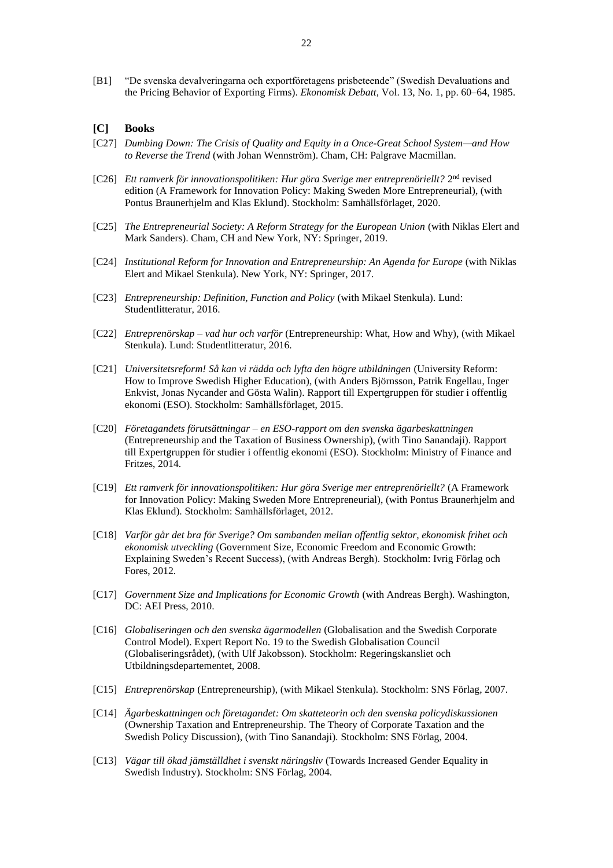[B1] "De svenska devalveringarna och exportföretagens prisbeteende" (Swedish Devaluations and the Pricing Behavior of Exporting Firms). *Ekonomisk Debatt*, Vol. 13, No. 1, pp. 60–64, 1985.

## **[C] Books**

- [C27] *Dumbing Down: The Crisis of Quality and Equity in a Once-Great School System—and How to Reverse the Trend* (with Johan Wennström). Cham, CH: Palgrave Macmillan.
- [C26] *Ett ramverk för innovationspolitiken: Hur göra Sverige mer entreprenöriellt?* 2<sup>nd</sup> revised edition (A Framework for Innovation Policy: Making Sweden More Entrepreneurial), (with Pontus Braunerhjelm and Klas Eklund). Stockholm: Samhällsförlaget, 2020.
- [C25] *The Entrepreneurial Society: A Reform Strategy for the European Union* (with Niklas Elert and Mark Sanders). Cham, CH and New York, NY: Springer, 2019.
- [C24] *Institutional Reform for Innovation and Entrepreneurship: An Agenda for Europe* (with Niklas Elert and Mikael Stenkula). New York, NY: Springer, 2017.
- [C23] *Entrepreneurship: Definition, Function and Policy* (with Mikael Stenkula). Lund: Studentlitteratur, 2016.
- [C22] *Entreprenörskap – vad hur och varför* (Entrepreneurship: What, How and Why), (with Mikael Stenkula). Lund: Studentlitteratur, 2016.
- [C21] *Universitetsreform! Så kan vi rädda och lyfta den högre utbildningen* (University Reform: How to Improve Swedish Higher Education), (with Anders Björnsson, Patrik Engellau, Inger Enkvist, Jonas Nycander and Gösta Walin). Rapport till Expertgruppen för studier i offentlig ekonomi (ESO). Stockholm: Samhällsförlaget, 2015.
- [C20] *Företagandets förutsättningar – en ESO-rapport om den svenska ägarbeskattningen* (Entrepreneurship and the Taxation of Business Ownership), (with Tino Sanandaji). Rapport till Expertgruppen för studier i offentlig ekonomi (ESO). Stockholm: Ministry of Finance and Fritzes, 2014.
- [C19] *Ett ramverk för innovationspolitiken: Hur göra Sverige mer entreprenöriellt?* (A Framework for Innovation Policy: Making Sweden More Entrepreneurial), (with Pontus Braunerhjelm and Klas Eklund). Stockholm: Samhällsförlaget, 2012.
- [C18] *Varför går det bra för Sverige? Om sambanden mellan offentlig sektor, ekonomisk frihet och ekonomisk utveckling* (Government Size, Economic Freedom and Economic Growth: Explaining Sweden's Recent Success), (with Andreas Bergh). Stockholm: Ivrig Förlag och Fores, 2012.
- [C17] *Government Size and Implications for Economic Growth* (with Andreas Bergh). Washington, DC: AEI Press, 2010.
- [C16] *Globaliseringen och den svenska ägarmodellen* (Globalisation and the Swedish Corporate Control Model). Expert Report No. 19 to the Swedish Globalisation Council (Globaliseringsrådet), (with Ulf Jakobsson). Stockholm: Regeringskansliet och Utbildningsdepartementet, 2008.
- [C15] *Entreprenörskap* (Entrepreneurship), (with Mikael Stenkula). Stockholm: SNS Förlag, 2007.
- [C14] *Ägarbeskattningen och företagandet: Om skatteteorin och den svenska policydiskussionen* (Ownership Taxation and Entrepreneurship. The Theory of Corporate Taxation and the Swedish Policy Discussion), (with Tino Sanandaji). Stockholm: SNS Förlag, 2004.
- [C13] *Vägar till ökad jämställdhet i svenskt näringsliv* (Towards Increased Gender Equality in Swedish Industry). Stockholm: SNS Förlag, 2004.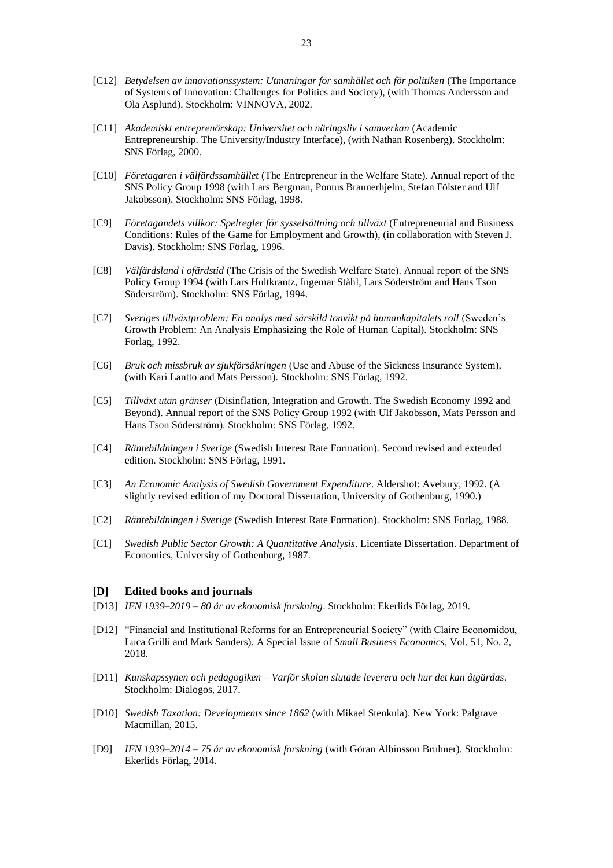- [C12] *Betydelsen av innovationssystem: Utmaningar för samhället och för politiken* (The Importance of Systems of Innovation: Challenges for Politics and Society), (with Thomas Andersson and Ola Asplund). Stockholm: VINNOVA, 2002.
- [C11] *Akademiskt entreprenörskap: Universitet och näringsliv i samverkan* (Academic Entrepreneurship. The University/Industry Interface), (with Nathan Rosenberg). Stockholm: SNS Förlag, 2000.
- [C10] *Företagaren i välfärdssamhället* (The Entrepreneur in the Welfare State). Annual report of the SNS Policy Group 1998 (with Lars Bergman, Pontus Braunerhjelm, Stefan Fölster and Ulf Jakobsson). Stockholm: SNS Förlag, 1998.
- [C9] *Företagandets villkor: Spelregler för sysselsättning och tillväxt* (Entrepreneurial and Business Conditions: Rules of the Game for Employment and Growth), (in collaboration with Steven J. Davis). Stockholm: SNS Förlag, 1996.
- [C8] *Välfärdsland i ofärdstid* (The Crisis of the Swedish Welfare State). Annual report of the SNS Policy Group 1994 (with Lars Hultkrantz, Ingemar Ståhl, Lars Söderström and Hans Tson Söderström). Stockholm: SNS Förlag, 1994.
- [C7] *Sveriges tillväxtproblem: En analys med särskild tonvikt på humankapitalets roll* (Sweden's Growth Problem: An Analysis Emphasizing the Role of Human Capital). Stockholm: SNS Förlag, 1992.
- [C6] *Bruk och missbruk av sjukförsäkringen* (Use and Abuse of the Sickness Insurance System), (with Kari Lantto and Mats Persson). Stockholm: SNS Förlag, 1992.
- [C5] *Tillväxt utan gränser* (Disinflation, Integration and Growth. The Swedish Economy 1992 and Beyond). Annual report of the SNS Policy Group 1992 (with Ulf Jakobsson, Mats Persson and Hans Tson Söderström). Stockholm: SNS Förlag, 1992.
- [C4] *Räntebildningen i Sverige* (Swedish Interest Rate Formation). Second revised and extended edition. Stockholm: SNS Förlag, 1991.
- [C3] *An Economic Analysis of Swedish Government Expenditure*. Aldershot: Avebury, 1992. (A slightly revised edition of my Doctoral Dissertation, University of Gothenburg, 1990.)
- [C2] *Räntebildningen i Sverige* (Swedish Interest Rate Formation). Stockholm: SNS Förlag, 1988.
- [C1] *Swedish Public Sector Growth: A Quantitative Analysis*. Licentiate Dissertation. Department of Economics, University of Gothenburg, 1987.

### **[D] Edited books and journals**

- [D13] *IFN 1939–2019 – 80 år av ekonomisk forskning*. Stockholm: Ekerlids Förlag, 2019.
- [D12] "Financial and Institutional Reforms for an Entrepreneurial Society" (with Claire Economidou, Luca Grilli and Mark Sanders). A Special Issue of *Small Business Economics*, Vol. 51, No. 2, 2018.
- [D11] *Kunskapssynen och pedagogiken – Varför skolan slutade leverera och hur det kan åtgärdas*. Stockholm: Dialogos, 2017.
- [D10] *Swedish Taxation: Developments since 1862* (with Mikael Stenkula). New York: Palgrave Macmillan, 2015.
- [D9] *IFN 1939–2014 – 75 år av ekonomisk forskning* (with Göran Albinsson Bruhner). Stockholm: Ekerlids Förlag, 2014.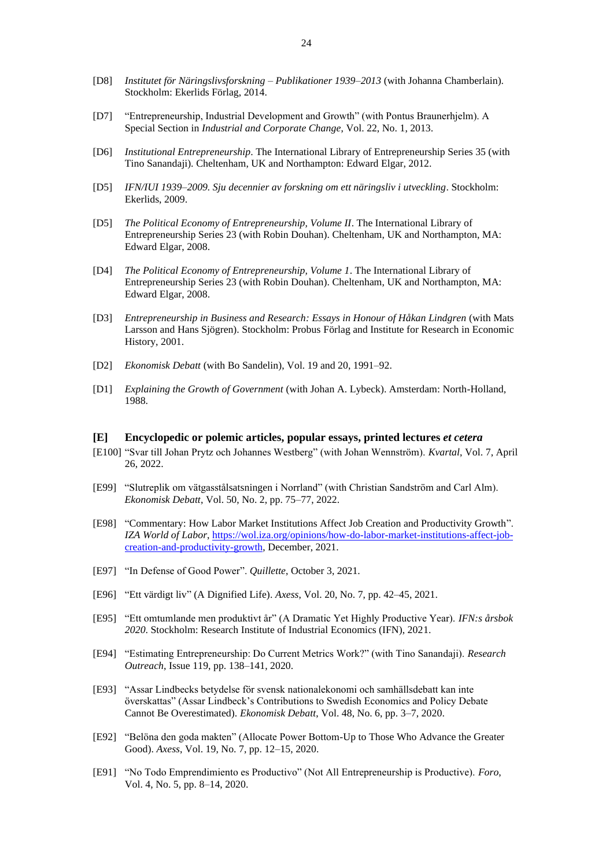- [D8] *Institutet för Näringslivsforskning – Publikationer 1939–2013* (with Johanna Chamberlain). Stockholm: Ekerlids Förlag, 2014.
- [D7] "Entrepreneurship, Industrial Development and Growth" (with Pontus Braunerhjelm). A Special Section in *Industrial and Corporate Change*, Vol. 22, No. 1, 2013.
- [D6] *Institutional Entrepreneurship*. The International Library of Entrepreneurship Series 35 (with Tino Sanandaji). Cheltenham, UK and Northampton: Edward Elgar, 2012.
- [D5] *IFN/IUI 1939–2009. Sju decennier av forskning om ett näringsliv i utveckling*. Stockholm: Ekerlids, 2009.
- [D5] *The Political Economy of Entrepreneurship, Volume II*. The International Library of Entrepreneurship Series 23 (with Robin Douhan). Cheltenham, UK and Northampton, MA: Edward Elgar, 2008.
- [D4] *The Political Economy of Entrepreneurship, Volume 1*. The International Library of Entrepreneurship Series 23 (with Robin Douhan). Cheltenham, UK and Northampton, MA: Edward Elgar, 2008.
- [D3] *Entrepreneurship in Business and Research: Essays in Honour of Håkan Lindgren* (with Mats Larsson and Hans Sjögren). Stockholm: Probus Förlag and Institute for Research in Economic History, 2001.
- [D2] *Ekonomisk Debatt* (with Bo Sandelin), Vol. 19 and 20, 1991–92.
- [D1] *Explaining the Growth of Government* (with Johan A. Lybeck). Amsterdam: North-Holland, 1988.

#### **[E] Encyclopedic or polemic articles, popular essays, printed lectures** *et cetera*

- [E100] "Svar till Johan Prytz och Johannes Westberg" (with Johan Wennström). *Kvartal*, Vol. 7, April 26, 2022.
- [E99] "Slutreplik om vätgasstålsatsningen i Norrland" (with Christian Sandström and Carl Alm). *Ekonomisk Debatt*, Vol. 50, No. 2, pp. 75–77, 2022.
- [E98] "Commentary: How Labor Market Institutions Affect Job Creation and Productivity Growth". *IZA World of Labor*[, https://wol.iza.org/opinions/how-do-labor-market-institutions-affect-job](https://wol.iza.org/opinions/how-do-labor-market-institutions-affect-job-creation-and-productivity-growth)[creation-and-productivity-growth,](https://wol.iza.org/opinions/how-do-labor-market-institutions-affect-job-creation-and-productivity-growth) December, 2021.
- [E97] "In Defense of Good Power". *Quillette*, October 3, 2021.
- [E96] "Ett värdigt liv" (A Dignified Life). *Axess*, Vol. 20, No. 7, pp. 42–45, 2021.
- [E95] "Ett omtumlande men produktivt år" (A Dramatic Yet Highly Productive Year). *IFN:s årsbok 2020*. Stockholm: Research Institute of Industrial Economics (IFN), 2021.
- [E94] "Estimating Entrepreneurship: Do Current Metrics Work?" (with Tino Sanandaji). *Research Outreach*, Issue 119, pp. 138–141, 2020.
- [E93] "Assar Lindbecks betydelse för svensk nationalekonomi och samhällsdebatt kan inte överskattas" (Assar Lindbeck's Contributions to Swedish Economics and Policy Debate Cannot Be Overestimated). *Ekonomisk Debatt*, Vol. 48, No. 6, pp. 3–7, 2020.
- [E92] "Belöna den goda makten" (Allocate Power Bottom-Up to Those Who Advance the Greater Good). *Axess*, Vol. 19, No. 7, pp. 12–15, 2020.
- [E91] "No Todo Emprendimiento es Productivo" (Not All Entrepreneurship is Productive). *Foro*, Vol. 4, No. 5, pp. 8–14, 2020.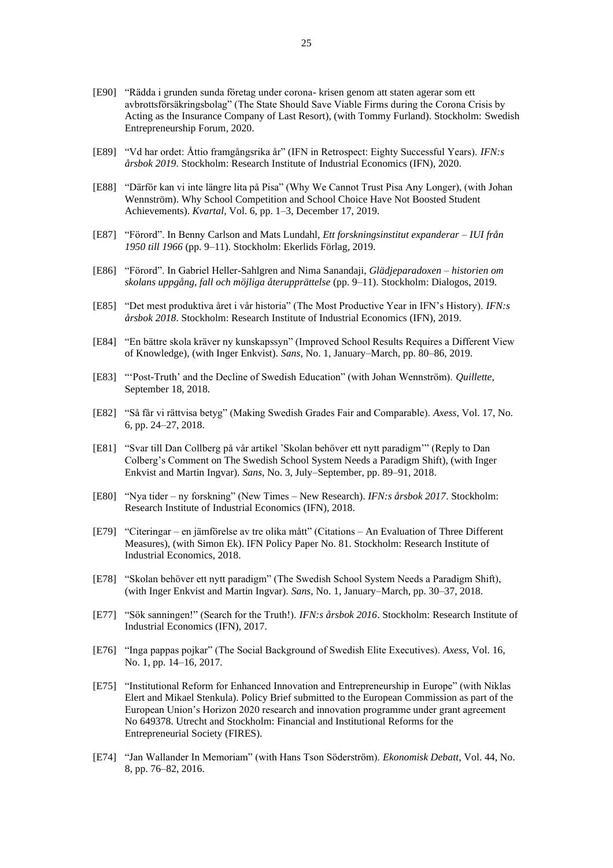- [E90] "Rädda i grunden sunda företag under corona- krisen genom att staten agerar som ett avbrottsförsäkringsbolag" (The State Should Save Viable Firms during the Corona Crisis by Acting as the Insurance Company of Last Resort), (with Tommy Furland). Stockholm: Swedish Entrepreneurship Forum, 2020.
- [E89] "Vd har ordet: Åttio framgångsrika år" (IFN in Retrospect: Eighty Successful Years). *IFN:s årsbok 2019*. Stockholm: Research Institute of Industrial Economics (IFN), 2020.
- [E88] "Därför kan vi inte längre lita på Pisa" (Why We Cannot Trust Pisa Any Longer), (with Johan Wennström). Why School Competition and School Choice Have Not Boosted Student Achievements). *Kvartal*, Vol. 6, pp. 1–3, December 17, 2019.
- [E87] "Förord". In Benny Carlson and Mats Lundahl, *Ett forskningsinstitut expanderar – IUI från 1950 till 1966* (pp. 9–11). Stockholm: Ekerlids Förlag, 2019.
- [E86] "Förord". In Gabriel Heller-Sahlgren and Nima Sanandaji, *Glädjeparadoxen – historien om skolans uppgång, fall och möjliga återupprättelse* (pp. 9–11). Stockholm: Dialogos, 2019.
- [E85] "Det mest produktiva året i vår historia" (The Most Productive Year in IFN's History). *IFN:s årsbok 2018*. Stockholm: Research Institute of Industrial Economics (IFN), 2019.
- [E84] "En bättre skola kräver ny kunskapssyn" (Improved School Results Requires a Different View of Knowledge), (with Inger Enkvist). *Sans*, No. 1, January–March, pp. 80–86, 2019.
- [E83] "'Post-Truth' and the Decline of Swedish Education" (with Johan Wennström). *Quillette*, September 18, 2018.
- [E82] "Så får vi rättvisa betyg" (Making Swedish Grades Fair and Comparable). *Axess*, Vol. 17, No. 6, pp. 24–27, 2018.
- [E81] "Svar till Dan Collberg på vår artikel 'Skolan behöver ett nytt paradigm'" (Reply to Dan Colberg's Comment on The Swedish School System Needs a Paradigm Shift), (with Inger Enkvist and Martin Ingvar). *Sans*, No. 3, July–September, pp. 89–91, 2018.
- [E80] "Nya tider ny forskning" (New Times New Research). *IFN:s årsbok 2017*. Stockholm: Research Institute of Industrial Economics (IFN), 2018.
- [E79] "Citeringar en jämförelse av tre olika mått" (Citations An Evaluation of Three Different Measures), (with Simon Ek). IFN Policy Paper No. 81. Stockholm: Research Institute of Industrial Economics, 2018.
- [E78] "Skolan behöver ett nytt paradigm" (The Swedish School System Needs a Paradigm Shift), (with Inger Enkvist and Martin Ingvar). *Sans*, No. 1, January–March, pp. 30–37, 2018.
- [E77] "Sök sanningen!" (Search for the Truth!). *IFN:s årsbok 2016*. Stockholm: Research Institute of Industrial Economics (IFN), 2017.
- [E76] "Inga pappas pojkar" (The Social Background of Swedish Elite Executives). *Axess*, Vol. 16, No. 1, pp. 14–16, 2017.
- [E75] "Institutional Reform for Enhanced Innovation and Entrepreneurship in Europe" (with Niklas Elert and Mikael Stenkula). Policy Brief submitted to the European Commission as part of the European Union's Horizon 2020 research and innovation programme under grant agreement No 649378. Utrecht and Stockholm: Financial and Institutional Reforms for the Entrepreneurial Society (FIRES).
- [E74] "Jan Wallander In Memoriam" (with Hans Tson Söderström). *Ekonomisk Debatt*, Vol. 44, No. 8, pp. 76–82, 2016.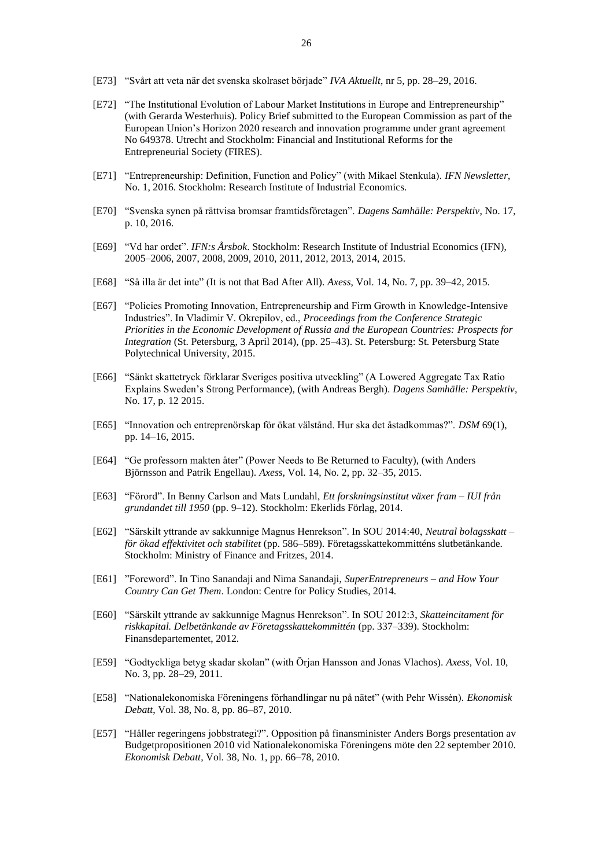- [E73] "Svårt att veta när det svenska skolraset började" *IVA Aktuellt*, nr 5, pp. 28–29, 2016.
- [E72] "The Institutional Evolution of Labour Market Institutions in Europe and Entrepreneurship" (with Gerarda Westerhuis). Policy Brief submitted to the European Commission as part of the European Union's Horizon 2020 research and innovation programme under grant agreement No 649378. Utrecht and Stockholm: Financial and Institutional Reforms for the Entrepreneurial Society (FIRES).
- [E71] "Entrepreneurship: Definition, Function and Policy" (with Mikael Stenkula). *IFN Newsletter*, No. 1, 2016. Stockholm: Research Institute of Industrial Economics.
- [E70] "Svenska synen på rättvisa bromsar framtidsföretagen". *Dagens Samhälle: Perspektiv*, No. 17, p. 10, 2016.
- [E69] "Vd har ordet". *IFN:s Årsbok*. Stockholm: Research Institute of Industrial Economics (IFN), 2005–2006, 2007, 2008, 2009, 2010, 2011, 2012, 2013, 2014, 2015.
- [E68] "Så illa är det inte" (It is not that Bad After All). *Axess*, Vol. 14, No. 7, pp. 39–42, 2015.
- [E67] "Policies Promoting Innovation, Entrepreneurship and Firm Growth in Knowledge-Intensive Industries". In Vladimir V. Okrepilov, ed., *Proceedings from the Conference Strategic Priorities in the Economic Development of Russia and the European Countries: Prospects for Integration* (St. Petersburg, 3 April 2014), (pp. 25–43). St. Petersburg: St. Petersburg State Polytechnical University, 2015.
- [E66] "Sänkt skattetryck förklarar Sveriges positiva utveckling" (A Lowered Aggregate Tax Ratio Explains Sweden's Strong Performance), (with Andreas Bergh). *Dagens Samhälle: Perspektiv*, No. 17, p. 12 2015.
- [E65] "Innovation och entreprenörskap för ökat välstånd. Hur ska det åstadkommas?". *DSM* 69(1), pp. 14–16, 2015.
- [E64] "Ge professorn makten åter" (Power Needs to Be Returned to Faculty), (with Anders Björnsson and Patrik Engellau). *Axess*, Vol. 14, No. 2, pp. 32–35, 2015.
- [E63] "Förord". In Benny Carlson and Mats Lundahl, *Ett forskningsinstitut växer fram – IUI från grundandet till 1950* (pp. 9–12). Stockholm: Ekerlids Förlag, 2014.
- [E62] "Särskilt yttrande av sakkunnige Magnus Henrekson". In SOU 2014:40, *Neutral bolagsskatt – för ökad effektivitet och stabilitet* (pp. 586–589). Företagsskattekommitténs slutbetänkande. Stockholm: Ministry of Finance and Fritzes, 2014.
- [E61] "Foreword". In Tino Sanandaji and Nima Sanandaji, *SuperEntrepreneurs – and How Your Country Can Get Them*. London: Centre for Policy Studies, 2014.
- [E60] "Särskilt yttrande av sakkunnige Magnus Henrekson". In SOU 2012:3, *Skatteincitament för riskkapital. Delbetänkande av Företagsskattekommittén* (pp. 337–339). Stockholm: Finansdepartementet, 2012.
- [E59] "Godtyckliga betyg skadar skolan" (with Örjan Hansson and Jonas Vlachos). *Axess*, Vol. 10, No. 3, pp. 28–29, 2011.
- [E58] "Nationalekonomiska Föreningens förhandlingar nu på nätet" (with Pehr Wissén). *Ekonomisk Debatt*, Vol. 38, No. 8, pp. 86–87, 2010.
- [E57] "Håller regeringens jobbstrategi?". Opposition på finansminister Anders Borgs presentation av Budgetpropositionen 2010 vid Nationalekonomiska Föreningens möte den 22 september 2010. *Ekonomisk Debatt*, Vol. 38, No. 1, pp. 66–78, 2010.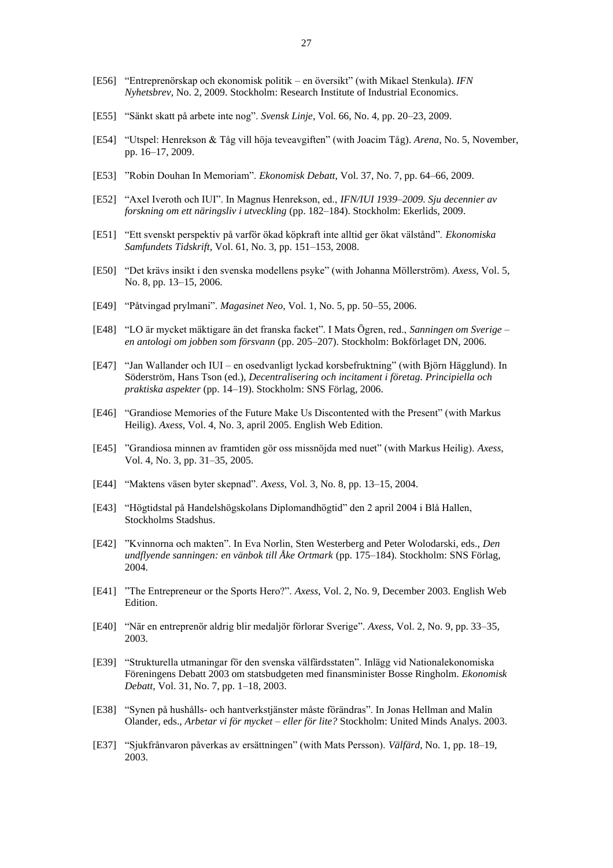- [E56] "Entreprenörskap och ekonomisk politik en översikt" (with Mikael Stenkula). *IFN Nyhetsbrev*, No. 2, 2009. Stockholm: Research Institute of Industrial Economics.
- [E55] "Sänkt skatt på arbete inte nog". *Svensk Linje*, Vol. 66, No. 4, pp. 20–23, 2009.
- [E54] "Utspel: Henrekson & Tåg vill höja teveavgiften" (with Joacim Tåg). *Arena*, No. 5, November, pp. 16–17, 2009.
- [E53] "Robin Douhan In Memoriam". *Ekonomisk Debatt*, Vol. 37, No. 7, pp. 64–66, 2009.
- [E52] "Axel Iveroth och IUI". In Magnus Henrekson, ed., *IFN/IUI 1939–2009. Sju decennier av forskning om ett näringsliv i utveckling* (pp. 182–184). Stockholm: Ekerlids, 2009.
- [E51] "Ett svenskt perspektiv på varför ökad köpkraft inte alltid ger ökat välstånd". *Ekonomiska Samfundets Tidskrift*, Vol. 61, No. 3, pp. 151–153, 2008.
- [E50] "Det krävs insikt i den svenska modellens psyke" (with Johanna Möllerström). *Axess*, Vol. 5, No. 8, pp. 13–15, 2006.
- [E49] "Påtvingad prylmani". *Magasinet Neo*, Vol. 1, No. 5, pp. 50–55, 2006.
- [E48] "LO är mycket mäktigare än det franska facket". I Mats Ögren, red., *Sanningen om Sverige – en antologi om jobben som försvann* (pp. 205–207). Stockholm: Bokförlaget DN, 2006.
- [E47] "Jan Wallander och IUI en osedvanligt lyckad korsbefruktning" (with Björn Hägglund). In Söderström, Hans Tson (ed.), *Decentralisering och incitament i företag. Principiella och praktiska aspekter* (pp. 14–19). Stockholm: SNS Förlag, 2006.
- [E46] "Grandiose Memories of the Future Make Us Discontented with the Present" (with Markus Heilig). *Axess*, Vol. 4, No. 3, april 2005. English Web Edition.
- [E45] "Grandiosa minnen av framtiden gör oss missnöjda med nuet" (with Markus Heilig). *Axess*, Vol. 4, No. 3, pp. 31–35, 2005.
- [E44] "Maktens väsen byter skepnad". *Axess*, Vol. 3, No. 8, pp. 13–15, 2004.
- [E43] "Högtidstal på Handelshögskolans Diplomandhögtid" den 2 april 2004 i Blå Hallen, Stockholms Stadshus.
- [E42] "Kvinnorna och makten". In Eva Norlin, Sten Westerberg and Peter Wolodarski, eds., *Den undflyende sanningen: en vänbok till Åke Ortmark* (pp. 175–184). Stockholm: SNS Förlag, 2004.
- [E41] "The Entrepreneur or the Sports Hero?". *Axess*, Vol. 2, No. 9, December 2003. English Web Edition.
- [E40] "När en entreprenör aldrig blir medaljör förlorar Sverige". *Axess*, Vol. 2, No. 9, pp. 33–35, 2003.
- [E39] "Strukturella utmaningar för den svenska välfärdsstaten". Inlägg vid Nationalekonomiska Föreningens Debatt 2003 om statsbudgeten med finansminister Bosse Ringholm. *Ekonomisk Debatt*, Vol. 31, No. 7, pp. 1–18, 2003.
- [E38] "Synen på hushålls- och hantverkstjänster måste förändras". In Jonas Hellman and Malin Olander, eds., *Arbetar vi för mycket – eller för lite?* Stockholm: United Minds Analys. 2003.
- [E37] "Sjukfrånvaron påverkas av ersättningen" (with Mats Persson). *Välfärd*, No. 1, pp. 18–19, 2003.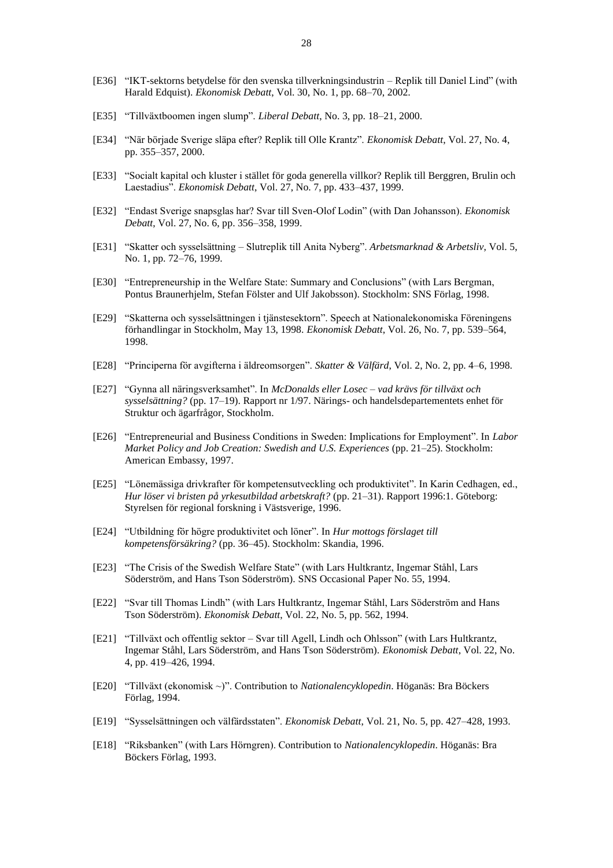- [E36] "IKT-sektorns betydelse för den svenska tillverkningsindustrin Replik till Daniel Lind" (with Harald Edquist). *Ekonomisk Debatt*, Vol. 30, No. 1, pp. 68–70, 2002.
- [E35] "Tillväxtboomen ingen slump". *Liberal Debatt*, No. 3, pp. 18–21, 2000.
- [E34] "När började Sverige släpa efter? Replik till Olle Krantz". *Ekonomisk Debatt*, Vol. 27, No. 4, pp. 355–357, 2000.
- [E33] "Socialt kapital och kluster i stället för goda generella villkor? Replik till Berggren, Brulin och Laestadius". *Ekonomisk Debatt*, Vol. 27, No. 7, pp. 433–437, 1999.
- [E32] "Endast Sverige snapsglas har? Svar till Sven-Olof Lodin" (with Dan Johansson). *Ekonomisk Debatt*, Vol. 27, No. 6, pp. 356–358, 1999.
- [E31] "Skatter och sysselsättning Slutreplik till Anita Nyberg". *Arbetsmarknad & Arbetsliv*, Vol. 5, No. 1, pp. 72–76, 1999.
- [E30] "Entrepreneurship in the Welfare State: Summary and Conclusions" (with Lars Bergman, Pontus Braunerhjelm, Stefan Fölster and Ulf Jakobsson). Stockholm: SNS Förlag, 1998.
- [E29] "Skatterna och sysselsättningen i tjänstesektorn". Speech at Nationalekonomiska Föreningens förhandlingar in Stockholm, May 13, 1998. *Ekonomisk Debatt*, Vol. 26, No. 7, pp. 539–564, 1998.
- [E28] "Principerna för avgifterna i äldreomsorgen". *Skatter & Välfärd*, Vol. 2, No. 2, pp. 4–6, 1998.
- [E27] "Gynna all näringsverksamhet". In *McDonalds eller Losec – vad krävs för tillväxt och sysselsättning?* (pp. 17–19). Rapport nr 1/97. Närings- och handelsdepartementets enhet för Struktur och ägarfrågor, Stockholm.
- [E26] "Entrepreneurial and Business Conditions in Sweden: Implications for Employment". In *Labor Market Policy and Job Creation: Swedish and U.S. Experiences* (pp. 21–25). Stockholm: American Embassy, 1997.
- [E25] "Lönemässiga drivkrafter för kompetensutveckling och produktivitet". In Karin Cedhagen, ed., *Hur löser vi bristen på yrkesutbildad arbetskraft?* (pp. 21–31). Rapport 1996:1. Göteborg: Styrelsen för regional forskning i Västsverige, 1996.
- [E24] "Utbildning för högre produktivitet och löner". In *Hur mottogs förslaget till kompetensförsäkring?* (pp. 36–45). Stockholm: Skandia, 1996.
- [E23] "The Crisis of the Swedish Welfare State" (with Lars Hultkrantz, Ingemar Ståhl, Lars Söderström, and Hans Tson Söderström). SNS Occasional Paper No. 55, 1994.
- [E22] "Svar till Thomas Lindh" (with Lars Hultkrantz, Ingemar Ståhl, Lars Söderström and Hans Tson Söderström). *Ekonomisk Debatt*, Vol. 22, No. 5, pp. 562, 1994.
- [E21] "Tillväxt och offentlig sektor Svar till Agell, Lindh och Ohlsson" (with Lars Hultkrantz, Ingemar Ståhl, Lars Söderström, and Hans Tson Söderström). *Ekonomisk Debatt*, Vol. 22, No. 4, pp. 419–426, 1994.
- [E20] "Tillväxt (ekonomisk ~)". Contribution to *Nationalencyklopedin*. Höganäs: Bra Böckers Förlag, 1994.
- [E19] "Sysselsättningen och välfärdsstaten". *Ekonomisk Debatt*, Vol. 21, No. 5, pp. 427–428, 1993.
- [E18] "Riksbanken" (with Lars Hörngren). Contribution to *Nationalencyklopedin*. Höganäs: Bra Böckers Förlag, 1993.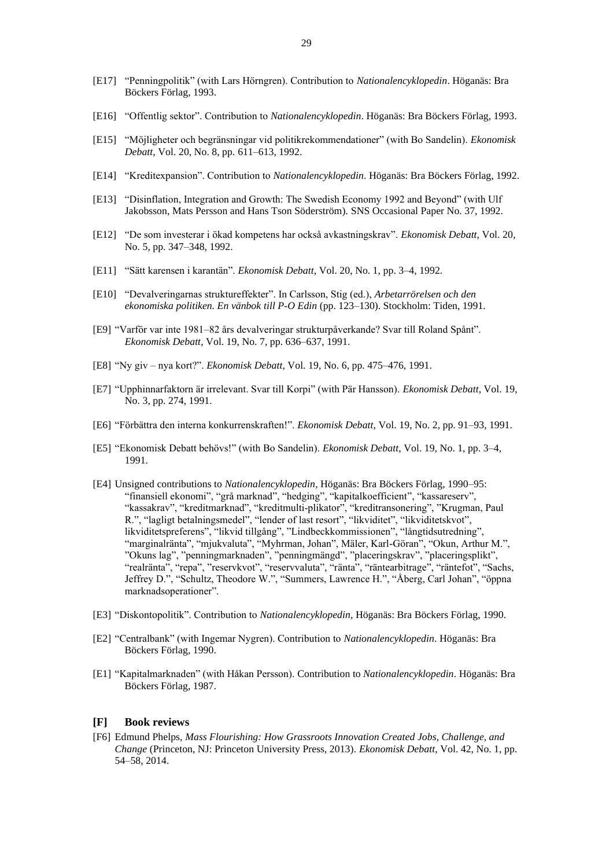- [E17] "Penningpolitik" (with Lars Hörngren). Contribution to *Nationalencyklopedin*. Höganäs: Bra Böckers Förlag, 1993.
- [E16] "Offentlig sektor". Contribution to *Nationalencyklopedin*. Höganäs: Bra Böckers Förlag, 1993.
- [E15] "Möjligheter och begränsningar vid politikrekommendationer" (with Bo Sandelin). *Ekonomisk Debatt*, Vol. 20, No. 8, pp. 611–613, 1992.
- [E14] "Kreditexpansion". Contribution to *Nationalencyklopedin*. Höganäs: Bra Böckers Förlag, 1992.
- [E13] "Disinflation, Integration and Growth: The Swedish Economy 1992 and Beyond" (with Ulf Jakobsson, Mats Persson and Hans Tson Söderström). SNS Occasional Paper No. 37, 1992.
- [E12] "De som investerar i ökad kompetens har också avkastningskrav". *Ekonomisk Debatt*, Vol. 20, No. 5, pp. 347–348, 1992.
- [E11] "Sätt karensen i karantän". *Ekonomisk Debatt*, Vol. 20, No. 1, pp. 3–4, 1992.
- [E10] "Devalveringarnas struktureffekter". In Carlsson, Stig (ed.), *Arbetarrörelsen och den ekonomiska politiken. En vänbok till P-O Edin* (pp. 123–130). Stockholm: Tiden, 1991.
- [E9] "Varför var inte 1981–82 års devalveringar strukturpåverkande? Svar till Roland Spånt". *Ekonomisk Debatt*, Vol. 19, No. 7, pp. 636–637, 1991.
- [E8] "Ny giv nya kort?". *Ekonomisk Debatt*, Vol. 19, No. 6, pp. 475–476, 1991.
- [E7] "Upphinnarfaktorn är irrelevant. Svar till Korpi" (with Pär Hansson). *Ekonomisk Debatt*, Vol. 19, No. 3, pp. 274, 1991.
- [E6] "Förbättra den interna konkurrenskraften!". *Ekonomisk Debatt*, Vol. 19, No. 2, pp. 91–93, 1991.
- [E5] "Ekonomisk Debatt behövs!" (with Bo Sandelin). *Ekonomisk Debatt*, Vol. 19, No. 1, pp. 3–4, 1991.
- [E4] Unsigned contributions to *Nationalencyklopedin*, Höganäs: Bra Böckers Förlag, 1990–95: "finansiell ekonomi", "grå marknad", "hedging", "kapitalkoefficient", "kassareserv", "kassakrav", "kreditmarknad", "kreditmulti-plikator", "kreditransonering", "Krugman, Paul R.", "lagligt betalningsmedel", "lender of last resort", "likviditet", "likviditetskvot", likviditetspreferens", "likvid tillgång", "Lindbeckkommissionen", "långtidsutredning", "marginalränta", "mjukvaluta", "Myhrman, Johan", Mäler, Karl-Göran", "Okun, Arthur M.", "Okuns lag", "penningmarknaden", "penningmängd", "placeringskrav", "placeringsplikt", "realränta", "repa", "reservkvot", "reservvaluta", "ränta", "räntearbitrage", "räntefot", "Sachs, Jeffrey D.", "Schultz, Theodore W.", "Summers, Lawrence H.", "Åberg, Carl Johan", "öppna marknadsoperationer".
- [E3] "Diskontopolitik". Contribution to *Nationalencyklopedin*, Höganäs: Bra Böckers Förlag, 1990.
- [E2] "Centralbank" (with Ingemar Nygren). Contribution to *Nationalencyklopedin*. Höganäs: Bra Böckers Förlag, 1990.
- [E1] "Kapitalmarknaden" (with Håkan Persson). Contribution to *Nationalencyklopedin*. Höganäs: Bra Böckers Förlag, 1987.

#### **[F] Book reviews**

[F6] Edmund Phelps, *Mass Flourishing: How Grassroots Innovation Created Jobs, Challenge, and Change* (Princeton, NJ: Princeton University Press, 2013). *Ekonomisk Debatt*, Vol. 42, No. 1, pp. 54–58, 2014.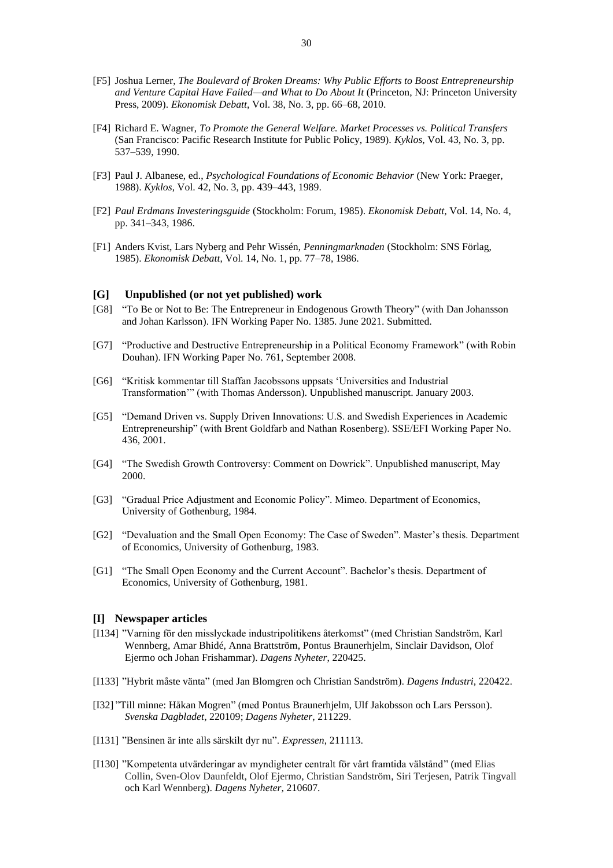- [F5] Joshua Lerner, *The Boulevard of Broken Dreams: Why Public Efforts to Boost Entrepreneurship and Venture Capital Have Failed—and What to Do About It* (Princeton, NJ: Princeton University Press, 2009). *Ekonomisk Debatt*, Vol. 38, No. 3, pp. 66–68, 2010.
- [F4] Richard E. Wagner, *To Promote the General Welfare. Market Processes vs. Political Transfers* (San Francisco: Pacific Research Institute for Public Policy, 1989). *Kyklos*, Vol. 43, No. 3, pp. 537–539, 1990.
- [F3] Paul J. Albanese, ed., *Psychological Foundations of Economic Behavior* (New York: Praeger, 1988). *Kyklos*, Vol. 42, No. 3, pp. 439–443, 1989.
- [F2] *Paul Erdmans Investeringsguide* (Stockholm: Forum, 1985). *Ekonomisk Debatt*, Vol. 14, No. 4, pp. 341–343, 1986.
- [F1] Anders Kvist, Lars Nyberg and Pehr Wissén, *Penningmarknaden* (Stockholm: SNS Förlag, 1985). *Ekonomisk Debatt*, Vol. 14, No. 1, pp. 77–78, 1986.

## **[G] Unpublished (or not yet published) work**

- [G8] "To Be or Not to Be: The Entrepreneur in Endogenous Growth Theory" (with Dan Johansson and Johan Karlsson). IFN Working Paper No. 1385. June 2021. Submitted.
- [G7] "Productive and Destructive Entrepreneurship in a Political Economy Framework" (with Robin Douhan). IFN Working Paper No. 761, September 2008.
- [G6] "Kritisk kommentar till Staffan Jacobssons uppsats 'Universities and Industrial Transformation'" (with Thomas Andersson). Unpublished manuscript. January 2003.
- [G5] "Demand Driven vs. Supply Driven Innovations: U.S. and Swedish Experiences in Academic Entrepreneurship" (with Brent Goldfarb and Nathan Rosenberg). SSE/EFI Working Paper No. 436, 2001.
- [G4] "The Swedish Growth Controversy: Comment on Dowrick". Unpublished manuscript, May 2000.
- [G3] "Gradual Price Adjustment and Economic Policy". Mimeo. Department of Economics, University of Gothenburg, 1984.
- [G2] "Devaluation and the Small Open Economy: The Case of Sweden". Master's thesis. Department of Economics, University of Gothenburg, 1983.
- [G1] "The Small Open Economy and the Current Account". Bachelor's thesis. Department of Economics, University of Gothenburg, 1981.

## **[I] Newspaper articles**

- [I134] "Varning för den misslyckade industripolitikens återkomst" (med Christian Sandström, Karl Wennberg, Amar Bhidé, Anna Brattström, Pontus Braunerhjelm, Sinclair Davidson, Olof Ejermo och Johan Frishammar). *Dagens Nyheter*, 220425.
- [I133] "Hybrit måste vänta" (med Jan Blomgren och Christian Sandström). *Dagens Industri*, 220422.
- [I32] "Till minne: Håkan Mogren" (med Pontus Braunerhjelm, Ulf Jakobsson och Lars Persson). *Svenska Dagbladet*, 220109; *Dagens Nyheter*, 211229.
- [I131] "Bensinen är inte alls särskilt dyr nu". *Expressen*, 211113.
- [I130] "Kompetenta utvärderingar av myndigheter centralt för vårt framtida välstånd" (med Elias Collin, Sven-Olov Daunfeldt, Olof Ejermo, Christian Sandström, Siri Terjesen, Patrik Tingvall och Karl Wennberg). *Dagens Nyheter*, 210607.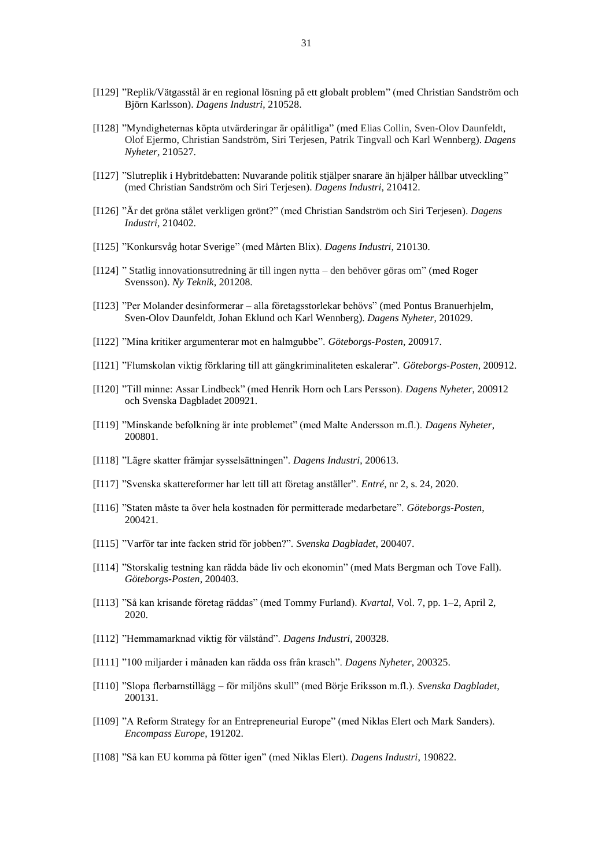- [I129] "Replik/Vätgasstål är en regional lösning på ett globalt problem" (med Christian Sandström och Björn Karlsson). *Dagens Industri*, 210528.
- [I128] "Myndigheternas köpta utvärderingar är opålitliga" (med Elias Collin, Sven-Olov Daunfeldt, Olof Ejermo, Christian Sandström, Siri Terjesen, Patrik Tingvall och Karl Wennberg). *Dagens Nyheter*, 210527.
- [I127] "Slutreplik i Hybritdebatten: Nuvarande politik stjälper snarare än hjälper hållbar utveckling" (med Christian Sandström och Siri Terjesen). *Dagens Industri*, 210412.
- [I126] "Är det gröna stålet verkligen grönt?" (med Christian Sandström och Siri Terjesen). *Dagens Industri*, 210402.
- [I125] "Konkursvåg hotar Sverige" (med Mårten Blix). *Dagens Industri*, 210130.
- [I124] " Statlig innovationsutredning är till ingen nytta den behöver göras om" (med Roger Svensson). *Ny Teknik*, 201208.
- [I123] "Per Molander desinformerar alla företagsstorlekar behövs" (med Pontus Branuerhjelm, Sven-Olov Daunfeldt, Johan Eklund och Karl Wennberg). *Dagens Nyheter*, 201029.
- [I122] "Mina kritiker argumenterar mot en halmgubbe". *Göteborgs-Posten*, 200917.
- [I121] "Flumskolan viktig förklaring till att gängkriminaliteten eskalerar". *Göteborgs-Posten*, 200912.
- [I120] "Till minne: Assar Lindbeck" (med Henrik Horn och Lars Persson). *Dagens Nyheter*, 200912 och Svenska Dagbladet 200921.
- [I119] "Minskande befolkning är inte problemet" (med Malte Andersson m.fl.). *Dagens Nyheter*, 200801.
- [I118] "Lägre skatter främjar sysselsättningen". *Dagens Industri*, 200613.
- [I117] "Svenska skattereformer har lett till att företag anställer". *Entré*, nr 2, s. 24, 2020.
- [I116] "Staten måste ta över hela kostnaden för permitterade medarbetare". *Göteborgs-Posten*, 200421.
- [I115] "Varför tar inte facken strid för jobben?". *Svenska Dagbladet*, 200407.
- [I114] "Storskalig testning kan rädda både liv och ekonomin" (med Mats Bergman och Tove Fall). *Göteborgs-Posten*, 200403.
- [I113] "Så kan krisande företag räddas" (med Tommy Furland). *Kvartal*, Vol. 7, pp. 1–2, April 2, 2020.
- [I112] "Hemmamarknad viktig för välstånd". *Dagens Industri*, 200328.
- [I111] "100 miljarder i månaden kan rädda oss från krasch". *Dagens Nyheter*, 200325.
- [I110] "Slopa flerbarnstillägg för miljöns skull" (med Börje Eriksson m.fl.). *Svenska Dagbladet*, 200131.
- [I109] "A Reform Strategy for an Entrepreneurial Europe" (med Niklas Elert och Mark Sanders). *Encompass Europe*, 191202.
- [I108] "Så kan EU komma på fötter igen" (med Niklas Elert). *Dagens Industri*, 190822.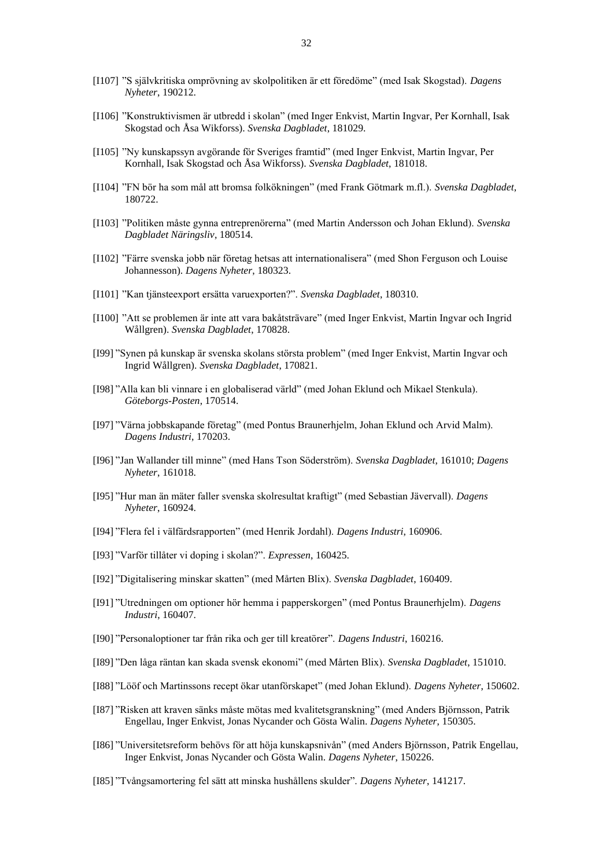- [I107] "S självkritiska omprövning av skolpolitiken är ett föredöme" (med Isak Skogstad). *Dagens Nyheter*, 190212.
- [I106] "Konstruktivismen är utbredd i skolan" (med Inger Enkvist, Martin Ingvar, Per Kornhall, Isak Skogstad och Åsa Wikforss). *Svenska Dagbladet*, 181029.
- [I105] "Ny kunskapssyn avgörande för Sveriges framtid" (med Inger Enkvist, Martin Ingvar, Per Kornhall, Isak Skogstad och Åsa Wikforss). *Svenska Dagbladet*, 181018.
- [I104] "FN bör ha som mål att bromsa folkökningen" (med Frank Götmark m.fl.). *Svenska Dagbladet*, 180722.
- [I103] "Politiken måste gynna entreprenörerna" (med Martin Andersson och Johan Eklund). *Svenska Dagbladet Näringsliv*, 180514.
- [I102] "Färre svenska jobb när företag hetsas att internationalisera" (med Shon Ferguson och Louise Johannesson). *Dagens Nyheter*, 180323.
- [I101] "Kan tjänsteexport ersätta varuexporten?". *Svenska Dagbladet*, 180310.
- [I100] "Att se problemen är inte att vara bakåtsträvare" (med Inger Enkvist, Martin Ingvar och Ingrid Wållgren). *Svenska Dagbladet*, 170828.
- [I99] "Synen på kunskap är svenska skolans största problem" (med Inger Enkvist, Martin Ingvar och Ingrid Wållgren). *Svenska Dagbladet*, 170821.
- [I98] "Alla kan bli vinnare i en globaliserad värld" (med Johan Eklund och Mikael Stenkula). *Göteborgs-Posten*, 170514.
- [I97] "Värna jobbskapande företag" (med Pontus Braunerhjelm, Johan Eklund och Arvid Malm). *Dagens Industri*, 170203.
- [I96] "Jan Wallander till minne" (med Hans Tson Söderström). *Svenska Dagbladet*, 161010; *Dagens Nyheter*, 161018.
- [I95] "Hur man än mäter faller svenska skolresultat kraftigt" (med Sebastian Jävervall). *Dagens Nyheter*, 160924.
- [I94] "Flera fel i välfärdsrapporten" (med Henrik Jordahl). *Dagens Industri*, 160906.
- [I93] "Varför tillåter vi doping i skolan?". *Expressen*, 160425.
- [I92] "Digitalisering minskar skatten" (med Mårten Blix). *Svenska Dagbladet*, 160409.
- [I91] "Utredningen om optioner hör hemma i papperskorgen" (med Pontus Braunerhjelm). *Dagens Industri*, 160407.
- [I90] "Personaloptioner tar från rika och ger till kreatörer". *Dagens Industri*, 160216.
- [I89] "Den låga räntan kan skada svensk ekonomi" (med Mårten Blix). *Svenska Dagbladet*, 151010.
- [I88] "Lööf och Martinssons recept ökar utanförskapet" (med Johan Eklund). *Dagens Nyheter*, 150602.
- [I87] "Risken att kraven sänks måste mötas med kvalitetsgranskning" (med Anders Björnsson, Patrik Engellau, Inger Enkvist, Jonas Nycander och Gösta Walin. *Dagens Nyheter*, 150305.
- [I86] "Universitetsreform behövs för att höja kunskapsnivån" (med Anders Björnsson, Patrik Engellau, Inger Enkvist, Jonas Nycander och Gösta Walin. *Dagens Nyheter*, 150226.
- [I85] "Tvångsamortering fel sätt att minska hushållens skulder". *Dagens Nyheter*, 141217.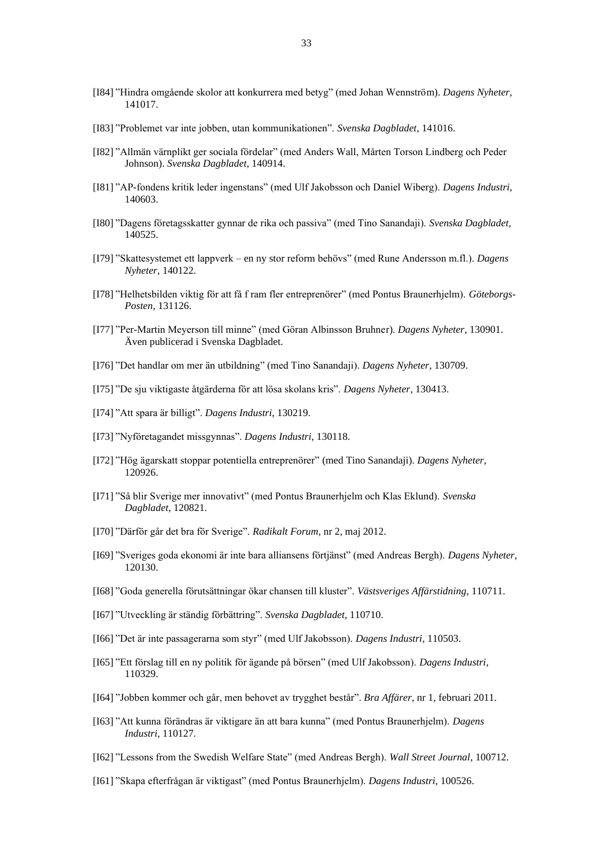- [I83] "Problemet var inte jobben, utan kommunikationen". *Svenska Dagbladet*, 141016.
- [I82] "Allmän värnplikt ger sociala fördelar" (med Anders Wall, Mårten Torson Lindberg och Peder Johnson). *Svenska Dagbladet*, 140914.
- [I81] "AP-fondens kritik leder ingenstans" (med Ulf Jakobsson och Daniel Wiberg). *Dagens Industri*, 140603.
- [I80] "Dagens företagsskatter gynnar de rika och passiva" (med Tino Sanandaji). *Svenska Dagbladet*, 140525.
- [I79] "Skattesystemet ett lappverk en ny stor reform behövs" (med Rune Andersson m.fl.). *Dagens Nyheter*, 140122.
- [I78] "Helhetsbilden viktig för att få f ram fler entreprenörer" (med Pontus Braunerhjelm). *Göteborgs-Posten*, 131126.
- [I77] "Per-Martin Meyerson till minne" (med Göran Albinsson Bruhner). *Dagens Nyheter*, 130901. Även publicerad i Svenska Dagbladet.
- [I76] "Det handlar om mer än utbildning" (med Tino Sanandaji). *Dagens Nyheter*, 130709.
- [I75] "De sju viktigaste åtgärderna för att lösa skolans kris". *Dagens Nyheter*, 130413.
- [I74] "Att spara är billigt". *Dagens Industri*, 130219.
- [I73] "Nyföretagandet missgynnas". *Dagens Industri*, 130118.
- [I72] "Hög ägarskatt stoppar potentiella entreprenörer" (med Tino Sanandaji). *Dagens Nyheter*, 120926.
- [I71] "Så blir Sverige mer innovativt" (med Pontus Braunerhjelm och Klas Eklund). *Svenska Dagbladet*, 120821.
- [I70] "Därför går det bra för Sverige". *Radikalt Forum*, nr 2, maj 2012.
- [I69] "Sveriges goda ekonomi är inte bara alliansens förtjänst" (med Andreas Bergh). *Dagens Nyheter*, 120130.
- [I68] "Goda generella förutsättningar ökar chansen till kluster". *Västsveriges Affärstidning*, 110711.
- [I67] "Utveckling är ständig förbättring". *Svenska Dagbladet*, 110710.
- [I66] "Det är inte passagerarna som styr" (med Ulf Jakobsson). *Dagens Industri*, 110503.
- [I65] "Ett förslag till en ny politik för ägande på börsen" (med Ulf Jakobsson). *Dagens Industri*, 110329.
- [I64] "Jobben kommer och går, men behovet av trygghet består". *Bra Affärer*, nr 1, februari 2011.
- [I63] "Att kunna förändras är viktigare än att bara kunna" (med Pontus Braunerhjelm). *Dagens Industri*, 110127.
- [I62] "Lessons from the Swedish Welfare State" (med Andreas Bergh). *Wall Street Journal*, 100712.
- [I61] "Skapa efterfrågan är viktigast" (med Pontus Braunerhjelm). *Dagens Industri*, 100526.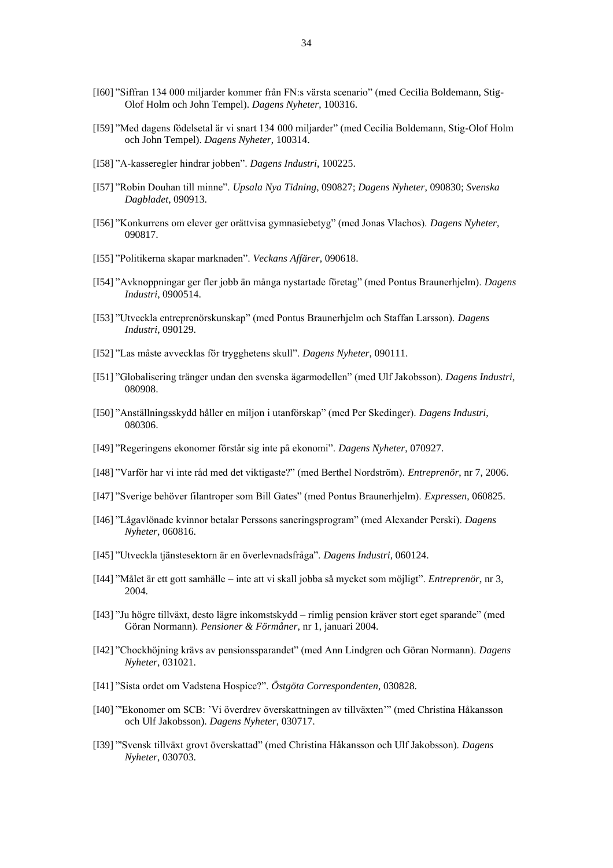- [I60] "Siffran 134 000 miljarder kommer från FN:s värsta scenario" (med Cecilia Boldemann, Stig-Olof Holm och John Tempel). *Dagens Nyheter*, 100316.
- [I59] "Med dagens födelsetal är vi snart 134 000 miljarder" (med Cecilia Boldemann, Stig-Olof Holm och John Tempel). *Dagens Nyheter*, 100314.
- [I58] "A-kasseregler hindrar jobben". *Dagens Industri*, 100225.
- [I57] "Robin Douhan till minne". *Upsala Nya Tidning*, 090827; *Dagens Nyheter*, 090830; *Svenska Dagbladet*, 090913.
- [I56] "Konkurrens om elever ger orättvisa gymnasiebetyg" (med Jonas Vlachos). *Dagens Nyheter*, 090817.
- [I55] "Politikerna skapar marknaden". *Veckans Affärer*, 090618.
- [I54] "Avknoppningar ger fler jobb än många nystartade företag" (med Pontus Braunerhjelm). *Dagens Industri*, 0900514.
- [I53] "Utveckla entreprenörskunskap" (med Pontus Braunerhjelm och Staffan Larsson). *Dagens Industri*, 090129.
- [I52] "Las måste avvecklas för trygghetens skull". *Dagens Nyheter*, 090111.
- [I51] "Globalisering tränger undan den svenska ägarmodellen" (med Ulf Jakobsson). *Dagens Industri*, 080908.
- [I50] "Anställningsskydd håller en miljon i utanförskap" (med Per Skedinger). *Dagens Industri*, 080306.
- [I49] "Regeringens ekonomer förstår sig inte på ekonomi". *Dagens Nyheter*, 070927.
- [I48] "Varför har vi inte råd med det viktigaste?" (med Berthel Nordström). *Entreprenör*, nr 7, 2006.
- [I47] "Sverige behöver filantroper som Bill Gates" (med Pontus Braunerhjelm). *Expressen*, 060825.
- [I46] "Lågavlönade kvinnor betalar Perssons saneringsprogram" (med Alexander Perski). *Dagens Nyheter*, 060816.
- [I45] "Utveckla tjänstesektorn är en överlevnadsfråga". *Dagens Industri*, 060124.
- [I44] "Målet är ett gott samhälle inte att vi skall jobba så mycket som möjligt". *Entreprenör*, nr 3, 2004.
- [I43] "Ju högre tillväxt, desto lägre inkomstskydd rimlig pension kräver stort eget sparande" (med Göran Normann). *Pensioner & Förmåner*, nr 1, januari 2004.
- [I42] "Chockhöjning krävs av pensionssparandet" (med Ann Lindgren och Göran Normann). *Dagens Nyheter*, 031021.
- [I41] "Sista ordet om Vadstena Hospice?". *Östgöta Correspondenten*, 030828.
- [I40] "'Ekonomer om SCB: 'Vi överdrev överskattningen av tillväxten'" (med Christina Håkansson och Ulf Jakobsson). *Dagens Nyheter*, 030717.
- [I39] "'Svensk tillväxt grovt överskattad" (med Christina Håkansson och Ulf Jakobsson). *Dagens Nyheter*, 030703.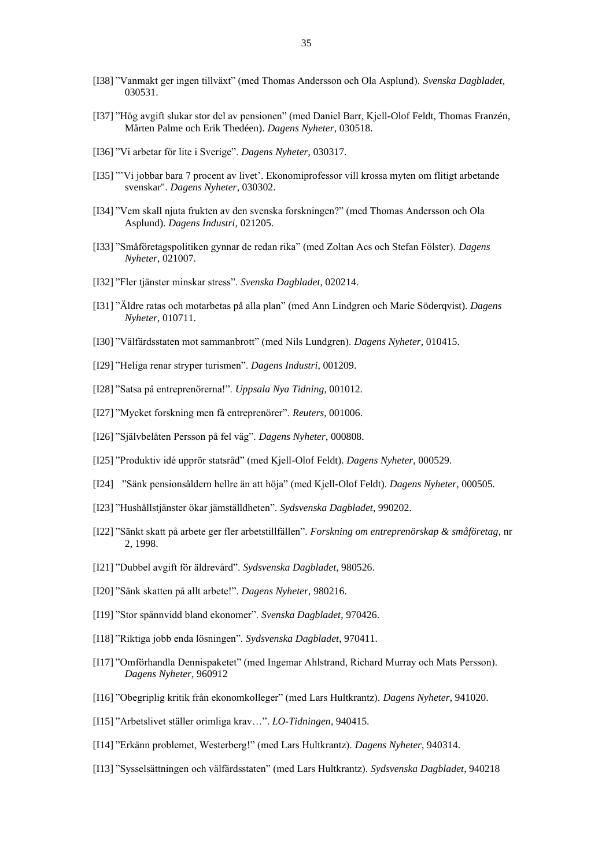- [I37] "Hög avgift slukar stor del av pensionen" (med Daniel Barr, Kjell-Olof Feldt, Thomas Franzén, Mårten Palme och Erik Thedéen). *Dagens Nyheter*, 030518.
- [I36] "Vi arbetar för lite i Sverige". *Dagens Nyheter*, 030317.
- [I35] "'Vi jobbar bara 7 procent av livet'. Ekonomiprofessor vill krossa myten om flitigt arbetande svenskar". *Dagens Nyheter*, 030302.
- [I34] "Vem skall njuta frukten av den svenska forskningen?" (med Thomas Andersson och Ola Asplund). *Dagens Industri*, 021205.
- [I33] "Småföretagspolitiken gynnar de redan rika" (med Zoltan Acs och Stefan Fölster). *Dagens Nyheter*, 021007.
- [I32] "Fler tjänster minskar stress". *Svenska Dagbladet*, 020214.
- [I31] "Äldre ratas och motarbetas på alla plan" (med Ann Lindgren och Marie Söderqvist). *Dagens Nyheter*, 010711.
- [I30] "Välfärdsstaten mot sammanbrott" (med Nils Lundgren). *Dagens Nyheter*, 010415.
- [I29] "Heliga renar stryper turismen". *Dagens Industri*, 001209.
- [I28] "Satsa på entreprenörerna!". *Uppsala Nya Tidning*, 001012.
- [I27] "Mycket forskning men få entreprenörer". *Reuters*, 001006.
- [I26] "Självbelåten Persson på fel väg". *Dagens Nyheter*, 000808.
- [I25] "Produktiv idé upprör statsråd" (med Kjell-Olof Feldt). *Dagens Nyheter*, 000529.
- [I24] "Sänk pensionsåldern hellre än att höja" (med Kjell-Olof Feldt). *Dagens Nyheter*, 000505.
- [I23] "Hushållstjänster ökar jämställdheten". *Sydsvenska Dagbladet*, 990202.
- [I22] "Sänkt skatt på arbete ger fler arbetstillfällen". *Forskning om entreprenörskap & småföretag*, nr 2, 1998.
- [I21] "Dubbel avgift för äldrevård". *Sydsvenska Dagbladet*, 980526.
- [I20] "Sänk skatten på allt arbete!". *Dagens Nyheter*, 980216.
- [I19] "Stor spännvidd bland ekonomer". *Svenska Dagbladet*, 970426.
- [I18] "Riktiga jobb enda lösningen". *Sydsvenska Dagbladet*, 970411.
- [I17] "Omförhandla Dennispaketet" (med Ingemar Ahlstrand, Richard Murray och Mats Persson). *Dagens Nyheter*, 960912
- [I16] "Obegriplig kritik från ekonomkolleger" (med Lars Hultkrantz). *Dagens Nyheter*, 941020.
- [I15] "Arbetslivet ställer orimliga krav…". *LO-Tidningen*, 940415.
- [I14] "Erkänn problemet, Westerberg!" (med Lars Hultkrantz). *Dagens Nyheter*, 940314.
- [I13] "Sysselsättningen och välfärdsstaten" (med Lars Hultkrantz). *Sydsvenska Dagbladet*, 940218